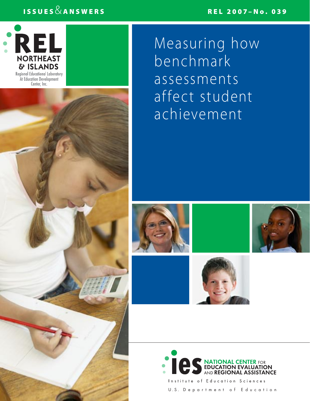## REL 2007–No. 039

## ISSUES  $\&$  ANSWERS



Measuring how benchmark assessments affect student achievement











Institute of Education Sciences U.S. Department of Education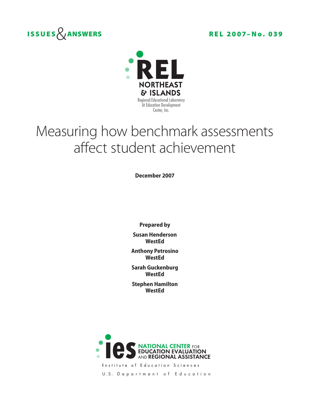



# Measuring how benchmark assessments affect student achievement

**December 2007**

**Prepared by Susan Henderson WestEd**

**Anthony Petrosino WestEd**

**Sarah Guckenburg WestEd**

**Stephen Hamilton WestEd**



Institute of Education Sciences

U.S. Department of Education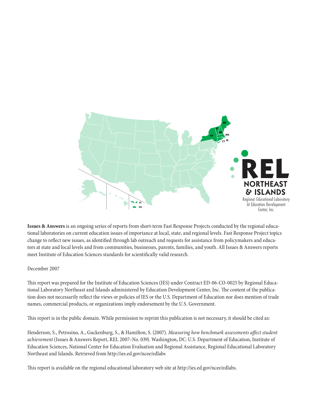

**Issues & Answers** is an ongoing series of reports from short-term Fast Response Projects conducted by the regional educational laboratories on current education issues of importance at local, state, and regional levels. Fast Response Project topics change to reflect new issues, as identified through lab outreach and requests for assistance from policymakers and educators at state and local levels and from communities, businesses, parents, families, and youth. All Issues & Answers reports meet Institute of Education Sciences standards for scientifically valid research.

## December 2007

This report was prepared for the Institute of Education Sciences (IES) under Contract ED-06-CO-0025 by Regional Educational Laboratory Northeast and Islands administered by Education Development Center, Inc. The content of the publication does not necessarily reflect the views or policies of IES or the U.S. Department of Education nor does mention of trade names, commercial products, or organizations imply endorsement by the U.S. Government.

This report is in the public domain. While permission to reprint this publication is not necessary, it should be cited as:

Henderson, S., Petrosino, A., Guckenburg, S., & Hamilton, S. (2007). *Measuring how benchmark assessments affect student achievement* (Issues & Answers Report, REL 2007–No. 039). Washington, DC: U.S. Department of Education, Institute of Education Sciences, National Center for Education Evaluation and Regional Assistance, Regional Educational Laboratory Northeast and Islands. Retrieved from http://ies.ed.gov/ncee/edlabs

This report is available on the regional educational laboratory web site at http://ies.ed.gov/ncee/edlabs.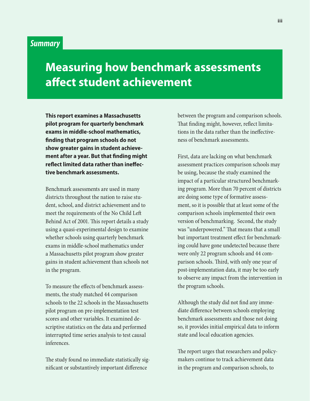## *Summary*

## **Measuring how benchmark assessments affect student achievement**

**This report examines a Massachusetts pilot program for quarterly benchmark exams in middle-school mathematics, finding that program schools do not show greater gains in student achievement after a year. But that finding might reflect limited data rather than ineffective benchmark assessments.**

Benchmark assessments are used in many districts throughout the nation to raise student, school, and district achievement and to meet the requirements of the No Child Left Behind Act of 2001. This report details a study using a quasi-experimental design to examine whether schools using quarterly benchmark exams in middle-school mathematics under a Massachusetts pilot program show greater gains in student achievement than schools not in the program.

To measure the effects of benchmark assessments, the study matched 44 comparison schools to the 22 schools in the Massachusetts pilot program on pre-implementation test scores and other variables. It examined descriptive statistics on the data and performed interrupted time series analysis to test causal inferences.

The study found no immediate statistically significant or substantively important difference

between the program and comparison schools. That finding might, however, reflect limitations in the data rather than the ineffectiveness of benchmark assessments.

First, data are lacking on what benchmark assessment practices comparison schools may be using, because the study examined the impact of a particular structured benchmarking program. More than 70 percent of districts are doing some type of formative assessment, so it is possible that at least some of the comparison schools implemented their own version of benchmarking. Second, the study was "underpowered." That means that a small but important treatment effect for benchmarking could have gone undetected because there were only 22 program schools and 44 comparison schools. Third, with only one year of post-implementation data, it may be too early to observe any impact from the intervention in the program schools.

Although the study did not find any immediate difference between schools employing benchmark assessments and those not doing so, it provides initial empirical data to inform state and local education agencies.

The report urges that researchers and policymakers continue to track achievement data in the program and comparison schools, to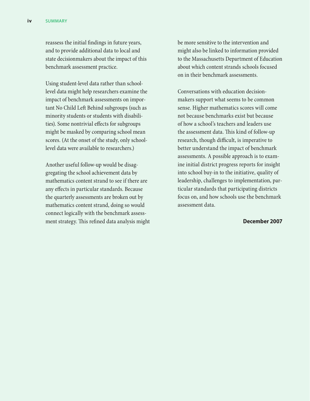reassess the initial findings in future years, and to provide additional data to local and state decisionmakers about the impact of this benchmark assessment practice.

Using student-level data rather than schoollevel data might help researchers examine the impact of benchmark assessments on important No Child Left Behind subgroups (such as minority students or students with disabilities). Some nontrivial effects for subgroups might be masked by comparing school mean scores. (At the onset of the study, only schoollevel data were available to researchers.)

Another useful follow-up would be disaggregating the school achievement data by mathematics content strand to see if there are any effects in particular standards. Because the quarterly assessments are broken out by mathematics content strand, doing so would connect logically with the benchmark assessment strategy. This refined data analysis might be more sensitive to the intervention and might also be linked to information provided to the Massachusetts Department of Education about which content strands schools focused on in their benchmark assessments.

Conversations with education decisionmakers support what seems to be common sense. Higher mathematics scores will come not because benchmarks exist but because of how a school's teachers and leaders use the assessment data. This kind of follow-up research, though difficult, is imperative to better understand the impact of benchmark assessments. A possible approach is to examine initial district progress reports for insight into school buy-in to the initiative, quality of leadership, challenges to implementation, particular standards that participating districts focus on, and how schools use the benchmark assessment data.

#### **December 2007**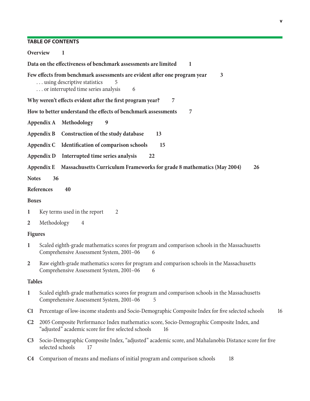#### **v**

## **Table of contents**

| Overview<br>-1                                                                                                                                                            |    |
|---------------------------------------------------------------------------------------------------------------------------------------------------------------------------|----|
| Data on the effectiveness of benchmark assessments are limited<br>-1                                                                                                      |    |
| Few effects from benchmark assessments are evident after one program year<br>3<br>using descriptive statistics<br>5<br>or interrupted time series analysis<br>6           |    |
| Why weren't effects evident after the first program year?<br>7                                                                                                            |    |
| How to better understand the effects of benchmark assessments<br>7                                                                                                        |    |
| Appendix A Methodology<br>9                                                                                                                                               |    |
| Construction of the study database<br>Appendix B<br>13                                                                                                                    |    |
| Identification of comparison schools<br>Appendix C<br>15                                                                                                                  |    |
| Interrupted time series analysis<br>Appendix D<br>22                                                                                                                      |    |
| Massachusetts Curriculum Frameworks for grade 8 mathematics (May 2004)<br>26<br>Appendix E                                                                                |    |
| <b>Notes</b><br>36                                                                                                                                                        |    |
| References<br>40                                                                                                                                                          |    |
| <b>Boxes</b>                                                                                                                                                              |    |
| Key terms used in the report<br>$\mathbf{1}$<br>$\overline{2}$                                                                                                            |    |
| Methodology<br>$\overline{2}$<br>4                                                                                                                                        |    |
| <b>Figures</b>                                                                                                                                                            |    |
| Scaled eighth-grade mathematics scores for program and comparison schools in the Massachusetts<br>$\mathbf{1}$<br>Comprehensive Assessment System, 2001-06<br>6           |    |
| Raw eighth-grade mathematics scores for program and comparison schools in the Massachusetts<br>$\overline{2}$<br>Comprehensive Assessment System, 2001–06 6               |    |
| <b>Tables</b>                                                                                                                                                             |    |
| Scaled eighth-grade mathematics scores for program and comparison schools in the Massachusetts<br>$\mathbf{1}$<br>Comprehensive Assessment System, 2001-06<br>5           |    |
| Percentage of low-income students and Socio-Demographic Composite Index for five selected schools<br>C1                                                                   | 16 |
| C <sub>2</sub><br>2005 Composite Performance Index mathematics score, Socio-Demographic Composite Index, and<br>"adjusted" academic score for five selected schools<br>16 |    |
| Socio-Demographic Composite Index, "adjusted" academic score, and Mahalanobis Distance score for five<br>C <sub>3</sub><br>selected schools<br>17                         |    |
|                                                                                                                                                                           |    |

**[C4](#page-24-0)** [Comparison of means and medians of initial program and comparison schools 18](#page-24-0)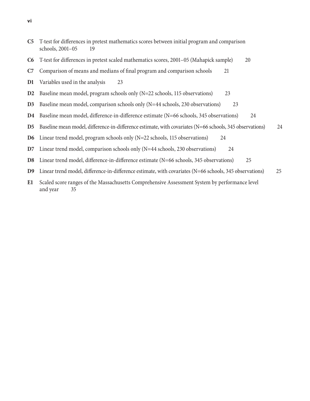- **[C5](#page-25-0)** [T-test for differences in pretest mathematics scores between initial program and comparison](#page-25-0)  schools, [2001–05 19](#page-25-0)
- **[C6](#page-26-0)** [T-test for differences in pretest scaled mathematics scores, 2001–05 \(Mahapick sample\) 20](#page-26-0)
- **[C7](#page-27-0)** [Comparison of means and medians of final program and comparison schools 21](#page-27-0)
- **[D1](#page-29-0)** [Variables used in the analysis 23](#page-29-0)
- **[D2](#page-29-0)** [Baseline mean model, program schools only \(N=22 schools, 115 observations\) 23](#page-29-0)
- **[D3](#page-29-0)** [Baseline mean model, comparison schools only \(N=44 schools, 230 observations\) 23](#page-29-0)
- **[D4](#page-30-0)** [Baseline mean model, difference-in-difference estimate \(N=66 schools, 345 observations\) 24](#page-30-0)
- **[D5](#page-30-0)** [Baseline mean model, difference-in-difference estimate, with covariates \(N=66 schools, 345 observations\) 24](#page-30-0)
- **[D6](#page-30-0)** [Linear trend model, program schools only \(N=22 schools, 115 observations\) 24](#page-30-0)
- **[D7](#page-30-0)** [Linear trend model, comparison schools only \(N=44 schools, 230 observations\) 24](#page-30-0)
- **[D8](#page-31-0)** [Linear trend model, difference-in-difference estimate \(N=66 schools, 345 observations\) 25](#page-31-0)
- **[D9](#page-31-0)** [Linear trend model, difference-in-difference estimate, with covariates \(N=66 schools, 345 observations\) 25](#page-31-0)
- **[E1](#page-41-0)** [Scaled score ranges of the Massachusetts Comprehensive Assessment System by performance level](#page-41-0)  and [year 35](#page-41-0)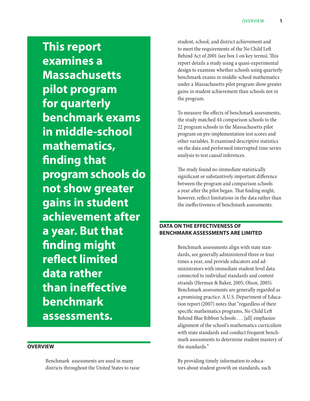<span id="page-7-0"></span>**This report examines a Massachusetts pilot program for quarterly benchmark exams in middle-school mathematics, finding that program schools do not show greater gains in student achievement after a year. But that finding might reflect limited data rather than ineffective benchmark assessments.**

## **Overview**

Benchmark assessments are used in many districts throughout the United States to raise student, school, and district achievement and to meet the requirements of the No Child Left Behind Act of 2001 (see box 1 on key terms). This report details a study using a quasi-experimental design to examine whether schools using quarterly benchmark exams in middle-school mathematics under a Massachusetts pilot program show greater gains in student achievement than schools not in the program.

To measure the effects of benchmark assessments, the study matched 44 comparison schools to the 22 program schools in the Massachusetts pilot program on pre-implementation test scores and other variables. It examined descriptive statistics on the data and performed interrupted time series analysis to test causal inferences.

The study found no immediate statistically significant or substantively important difference between the program and comparison schools a year after the pilot began. That finding might, however, reflect limitations in the data rather than the ineffectiveness of benchmark assessments.

## **Data on the effectiveness of benchmark assessments are limited**

Benchmark assessments align with state standards, are generally administered three or four times a year, and provide educators and administrators with immediate student-level data connected to individual standards and content strands (Herman & Baker, 2005; Olson, 2005). Benchmark assessments are generally regarded as a promising practice. A U.S. Department of Education report (2007) notes that "regardless of their specific mathematics programs, No Child Left Behind Blue Ribbon Schools . . . [all] emphasize alignment of the school's mathematics curriculum with state standards and conduct frequent benchmark assessments to determine student mastery of the standards."

By providing timely information to educators about student growth on standards, such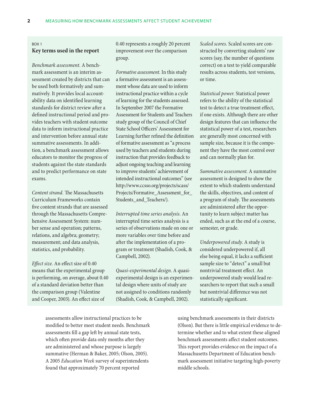#### <span id="page-8-0"></span>Box 1

#### **Key terms used in the report**

*Benchmark assessment.* A benchmark assessment is an interim assessment created by districts that can be used both formatively and summatively. It provides local accountability data on identified learning standards for district review after a defined instructional period and provides teachers with student outcome data to inform instructional practice and intervention before annual state summative assessments. In addition, a benchmark assessment allows educators to monitor the progress of students against the state standards and to predict performance on state exams.

*Content strand.* The Massachusetts Curriculum Frameworks contain five content strands that are assessed through the Massachusetts Comprehensive Assessment System: number sense and operation; patterns, relations, and algebra; geometry; measurement; and data analysis, statistics, and probability.

*Effect size.* An effect size of 0.40 means that the experimental group is performing, on average, about 0.40 of a standard deviation better than the comparison group (Valentine and Cooper, 2003). An effect size of

0.40 represents a roughly 20 percent improvement over the comparison group.

*Formative assessment.* In this study a formative assessment is an assessment whose data are used to inform instructional practice within a cycle of learning for the students assessed. In September 2007 the Formative Assessment for Students and Teachers study group of the Council of Chief State School Officers' Assessment for Learning further refined the definition of formative assessment as "a process used by teachers and students during instruction that provides feedback to adjust ongoing teaching and learning to improve students' achievement of intended instructional outcomes" (see http://www.ccsso.org/projects/scass/ Projects/Formative\_Assessment\_for\_ Students\_and\_Teachers/).

*Interrupted time series analysis.* An interrupted time series analysis is a series of observations made on one or more variables over time before and after the implementation of a program or treatment (Shadish, Cook, & Campbell, 2002).

*Quasi-experimental design.* A quasiexperimental design is an experimental design where units of study are not assigned to conditions randomly (Shadish, Cook, & Campbell, 2002).

*Scaled scores.* Scaled scores are constructed by converting students' raw scores (say, the number of questions correct) on a test to yield comparable results across students, test versions, or time.

*Statistical power.* Statistical power refers to the ability of the statistical test to detect a true treatment effect, if one exists. Although there are other design features that can influence the statistical power of a test, researchers are generally most concerned with sample size, because it is the component they have the most control over and can normally plan for.

*Summative assessment.* A summative assessment is designed to show the extent to which students understand the skills, objectives, and content of a program of study. The assessments are administered after the opportunity to learn subject matter has ended, such as at the end of a course, semester, or grade.

*Underpowered study.* A study is considered underpowered if, all else being equal, it lacks a sufficient sample size to "detect" a small but nontrivial treatment effect. An underpowered study would lead researchers to report that such a small but nontrivial difference was not statistically significant.

assessments allow instructional practices to be modified to better meet student needs. Benchmark assessments fill a gap left by annual state tests, which often provide data only months after they are administered and whose purpose is largely summative (Herman & Baker, 2005; Olson, 2005). A 2005 *Education Week* survey of superintendents found that approximately 70 percent reported

using benchmark assessments in their districts (Olson). But there is little empirical evidence to determine whether and to what extent these aligned benchmark assessments affect student outcomes. This report provides evidence on the impact of a Massachusetts Department of Education benchmark assessment initiative targeting high-poverty middle schools.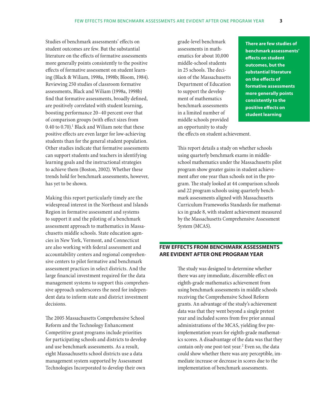<span id="page-9-0"></span>Studies of benchmark assessments' effects on student outcomes are few. But the substantial literature on the effects of formative assessments more generally points consistently to the positive effects of formative assessment on student learning (Black & Wiliam, 1998a, 1998b; Bloom, 1984). Reviewing 250 studies of classroom formative assessments, Black and Wiliam (1998a, 1998b) find that formative assessments, broadly defined, are positively correlated with student learning, boosting performance 20–40 percent over that of comparison groups (with effect sizes from 0.40 to 0.70).<sup>1</sup> Black and Wiliam note that these positive effects are even larger for low-achieving students than for the general student population. Other studies indicate that formative assessments can support students and teachers in identifying learning goals and the instructional strategies to achieve them (Boston, 2002). Whether these trends hold for benchmark assessments, however, has yet to be shown.

Making this report particularly timely are the widespread interest in the Northeast and Islands Region in formative assessment and systems to support it and the piloting of a benchmark assessment approach to mathematics in Massachusetts middle schools. State education agencies in New York, Vermont, and Connecticut are also working with federal assessment and accountability centers and regional comprehensive centers to pilot formative and benchmark assessment practices in select districts. And the large financial investment required for the data management systems to support this comprehensive approach underscores the need for independent data to inform state and district investment decisions.

The 2005 Massachusetts Comprehensive School Reform and the Technology Enhancement Competitive grant programs include priorities for participating schools and districts to develop and use benchmark assessments. As a result, eight Massachusetts school districts use a data management system supported by Assessment Technologies Incorporated to develop their own

grade-level benchmark assessments in mathematics for about 10,000 middle-school students in 25 schools. The decision of the Massachusetts Department of Education to support the development of mathematics benchmark assessments in a limited number of middle schools provided an opportunity to study the effects on student achievement.

**There are few studies of benchmark assessments' effects on student outcomes, but the substantial literature on the effects of formative assessments more generally points consistently to the positive effects on student learning**

This report details a study on whether schools using quarterly benchmark exams in middleschool mathematics under the Massachusetts pilot program show greater gains in student achievement after one year than schools not in the program. The study looked at 44 comparison schools and 22 program schools using quarterly benchmark assessments aligned with Massachusetts Curriculum Frameworks Standards for mathematics in grade 8, with student achievement measured by the Massachusetts Comprehensive Assessment System (MCAS).

## **Few effects from benchmark assessments are evident after one program year**

The study was designed to determine whether there was any immediate, discernible effect on eighth-grade mathematics achievement from using benchmark assessments in middle schools receiving the Comprehensive School Reform grants. An advantage of the study's achievement data was that they went beyond a single pretest year and included scores from five prior annual administrations of the MCAS, yielding five preimplementation years for eighth-grade mathematics scores. A disadvantage of the data was that they contain only one post-test year.<sup>2</sup> Even so, the data could show whether there was any perceptible, immediate increase or decrease in scores due to the implementation of benchmark assessments.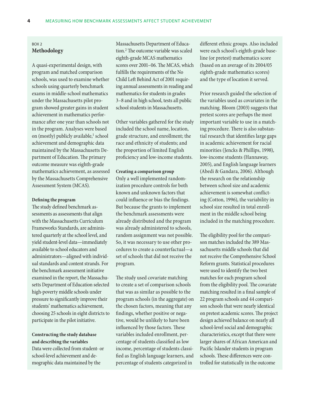## Box 2 **Methodology**

A quasi-experimental design, with program and matched comparison schools, was used to examine whether schools using quarterly benchmark exams in middle-school mathematics under the Massachusetts pilot program showed greater gains in student achievement in mathematics performance after one year than schools not in the program. Analyses were based on (mostly) publicly available,<sup>1</sup> school achievement and demographic data maintained by the Massachusetts Department of Education. The primary outcome measure was eighth-grade mathematics achievement, as assessed by the Massachusetts Comprehensive Assessment System (MCAS).

#### **Defining the program**

The study defined benchmark assessments as assessments that align with the Massachusetts Curriculum Frameworks Standards, are administered quarterly at the school level, and yield student-level data—immediately available to school educators and administrators—aligned with individual standards and content strands. For the benchmark assessment initiative examined in the report, the Massachusetts Department of Education selected high-poverty middle schools under pressure to significantly improve their students' mathematics achievement, choosing 25 schools in eight districts to participate in the pilot initiative.

**Constructing the study database and describing the variables** Data were collected from student- or school-level achievement and demographic data maintained by the

Massachusetts Department of Education.2 The outcome variable was scaled eighth-grade MCAS mathematics scores over 2001–06. The MCAS, which fulfills the requirements of the No Child Left Behind Act of 2001 requiring annual assessments in reading and mathematics for students in grades 3–8 and in high school, tests all public school students in Massachusetts.

Other variables gathered for the study included the school name, location, grade structure, and enrollment; the race and ethnicity of students; and the proportion of limited English proficiency and low-income students.

#### **Creating a comparison group**

Only a well implemented randomization procedure controls for both known and unknown factors that could influence or bias the findings. But because the grants to implement the benchmark assessments were already distributed and the program was already administered to schools, random assignment was not possible. So, it was necessary to use other procedures to create a counterfactual—a set of schools that did not receive the program.

The study used covariate matching to create a set of comparison schools that was as similar as possible to the program schools (in the aggregate) on the chosen factors, meaning that any findings, whether positive or negative, would be unlikely to have been influenced by those factors. These variables included enrollment, percentage of students classified as low income, percentage of students classified as English language learners, and percentage of students categorized in

different ethnic groups. Also included were each school's eighth-grade baseline (or pretest) mathematics score (based on an average of its 2004/05 eighth-grade mathematics scores) and the type of location it served.

Prior research guided the selection of the variables used as covariates in the matching. Bloom (2003) suggests that pretest scores are perhaps the most important variable to use in a matching procedure. There is also substantial research that identifies large gaps in academic achievement for racial minorities (Jencks & Phillips, 1998), low-income students (Hannaway, 2005), and English language learners (Abedi & Gandara, 2006). Although the research on the relationship between school size and academic achievement is somewhat conflicting (Cotton, 1996), the variability in school size resulted in total enrollment in the middle school being included in the matching procedure.

The eligibility pool for the comparison matches included the 389 Massachusetts middle schools that did not receive the Comprehensive School Reform grants. Statistical procedures were used to identify the two best matches for each program school from the eligibility pool. The covariate matching resulted in a final sample of 22 program schools and 44 comparison schools that were nearly identical on pretest academic scores. The project design achieved balance on nearly all school-level social and demographic characteristics, except that there were larger shares of African American and Pacific Islander students in program schools. These differences were controlled for statistically in the outcome

<span id="page-10-0"></span>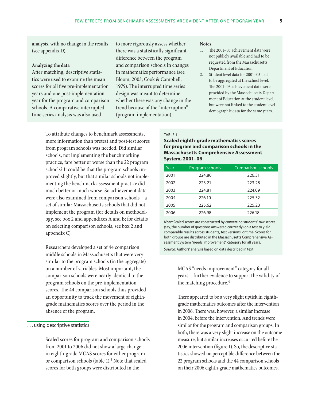<span id="page-11-0"></span>analysis, with no change in the results (see appendix D).

#### **Analyzing the data**

After matching, descriptive statistics were used to examine the mean scores for all five pre-implementation years and one post-implementation year for the program and comparison schools. A comparative interrupted time series analysis was also used

to more rigorously assess whether there was a statistically significant difference between the program and comparison schools in changes in mathematics performance (see Bloom, 2003; Cook & Campbell, 1979). The interrupted time series design was meant to determine whether there was any change in the trend because of the "interruption" (program implementation).

To attribute changes to benchmark assessments, more information than pretest and post-test scores from program schools was needed. Did similar schools, not implementing the benchmarking practice, fare better or worse than the 22 program schools? It could be that the program schools improved slightly, but that similar schools not implementing the benchmark assessment practice did much better or much worse. So achievement data were also examined from comparison schools—a set of similar Massachusetts schools that did not implement the program (for details on methodology, see box 2 and appendixes A and B; for details on selecting comparison schools, see box 2 and appendix C).

Researchers developed a set of 44 comparison middle schools in Massachusetts that were very similar to the program schools (in the aggregate) on a number of variables. Most important, the comparison schools were nearly identical to the program schools on the pre-implementation scores. The 44 comparison schools thus provided an opportunity to track the movement of eighthgrade mathematics scores over the period in the absence of the program.

#### . . . using descriptive statistics

Scaled scores for program and comparison schools from 2001 to 2006 did not show a large change in eighth-grade MCAS scores for either program or comparison schools (table 1).<sup>3</sup> Note that scaled scores for both groups were distributed in the

#### **Notes**

- 1. The 2001–03 achievement data were not publicly available and had to be requested from the Massachusetts Department of Education.
- 2. Student level data for 2001–03 had to be aggregated at the school level. The 2001–03 achievement data were provided by the Massachusetts Department of Education at the student level, but were not linked to the student level demographic data for the same years.

#### TABLE 1

#### **Scaled eighth-grade mathematics scores for program and comparison schools in the Massachusetts Comprehensive Assessment System, 2001–06**

| Year | Program schools | <b>Comparison schools</b> |
|------|-----------------|---------------------------|
| 2001 | 224.80          | 226.31                    |
| 2002 | 223.21          | 223.28                    |
| 2003 | 224.81          | 224.09                    |
| 2004 | 226.10          | 225.32                    |
| 2005 | 225.62          | 225.23                    |
| 2006 | 226.98          | 226.18                    |

*Note:* Scaled scores are constructed by converting students' raw scores (say, the number of questions answered corrrectly) on a test to yield comparable results across students, test versions, or time. Scores for both groups are distributed in the Massachusetts Comprehensive Assessment System "needs improvement" category for all years.

*Source:* Authors' analysis based on data described in text.

MCAS "needs improvement" category for all years—further evidence to support the validity of the matching procedure.<sup>4</sup>

There appeared to be a very slight uptick in eighthgrade mathematics outcomes after the intervention in 2006. There was, however, a similar increase in 2004, before the intervention. And trends were similar for the program and comparison groups. In both, there was a very slight increase on the outcome measure, but similar increases occurred before the 2006 intervention (figure 1). So, the descriptive statistics showed no perceptible difference between the 22 program schools and the 44 comparison schools on their 2006 eighth-grade mathematics outcomes.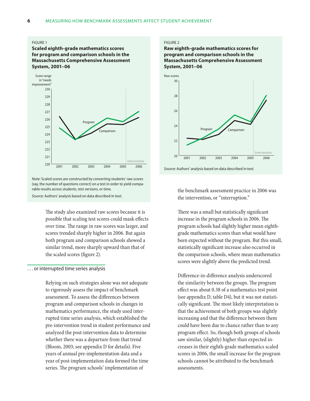#### <span id="page-12-0"></span>**FIGURE 1**

#### **Scaled eighth-grade mathematics scores for program and comparison schools in the Massachusetts Comprehensive Assessment System, 2001–06**



*Note:* Scaled scores are constructed by converting students' raw scores (say, the number of questions correct) on a test in order to yield comparable results across students, test versions, or time.

*Source:* Authors' analysis based on data described in text.

The study also examined raw scores because it is possible that scaling test scores could mask effects over time. The range in raw scores was larger, and scores trended sharply higher in 2006. But again both program and comparison schools showed a similar trend, more sharply upward than that of the scaled scores (figure 2).

#### . . . or interrupted time series analysis

Relying on such strategies alone was not adequate to rigorously assess the impact of benchmark assessment. To assess the differences between program and comparison schools in changes in mathematics performance, the study used interrupted time series analysis, which established the pre-intervention trend in student performance and analyzed the post-intervention data to determine whether there was a departure from that trend (Bloom, 2003; see appendix D for details). Five years of annual pre-implementation data and a year of post-implementation data formed the time series. The program schools' implementation of

#### Figure 2

#### **Raw eighth-grade mathematics scores for program and comparison schools in the Massachusetts Comprehensive Assessment System, 2001–06**



*Source:* Authors' analysis based on data described in text.

the benchmark assessment practice in 2006 was the intervention, or "interruption."

There was a small but statistically significant increase in the program schools in 2006. The program schools had slightly higher mean eighthgrade mathematics scores than what would have been expected without the program. But this small, statistically significant increase also occurred in the comparison schools, where mean mathematics scores were slightly above the predicted trend.

Difference-in-difference analysis underscored the similarity between the groups. The program effect was about 0.38 of a mathematics test point (see appendix D, table D4), but it was not statistically significant. The most likely interpretation is that the achievement of both groups was slightly increasing and that the difference between them could have been due to chance rather than to any program effect. So, though both groups of schools saw similar, (slightly) higher than expected increases in their eighth-grade mathematics scaled scores in 2006, the small increase for the program schools cannot be attributed to the benchmark assessments.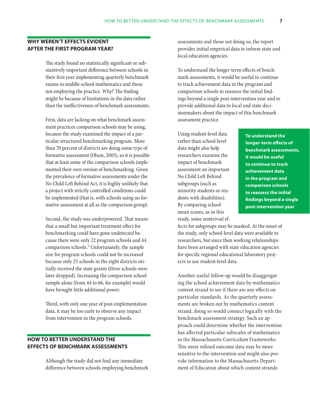## <span id="page-13-0"></span>**Why weren't effects evident after the first program year?**

The study found no statistically significant or substantively important difference between schools in their first year implementing quarterly benchmark exams in middle-school mathematics and those not employing the practice. Why? The finding might be because of limitations in the data rather than the ineffectiveness of benchmark assessments.

First, data are lacking on what benchmark assessment practices comparison schools may be using, because the study examined the impact of a particular structured benchmarking program. More than 70 percent of districts are doing some type of formative assessment (Olson, 2005), so it is possible that at least some of the comparison schools implemented their own version of benchmarking. Given the prevalence of formative assessments under the No Child Left Behind Act, it is highly unlikely that a project with strictly controlled conditions could be implemented (that is, with schools using no formative assessment at all as the comparison group).

Second, the study was underpowered. That means that a small but important treatment effect for benchmarking could have gone undetected because there were only 22 program schools and 44 comparison schools.<sup>5</sup> Unfortunately, the sample size for program schools could not be increased because only 25 schools in the eight districts initially received the state grants (three schools were later dropped). Increasing the comparison school sample alone (from 44 to 66, for example) would have brought little additional power.

Third, with only one year of post-implementation data, it may be too early to observe any impact from intervention in the program schools.

## **How to better understand the effects of benchmark assessments**

Although the study did not find any immediate difference between schools employing benchmark assessments and those not doing so, the report provides initial empirical data to inform state and local education agencies.

To understand the longer-term effects of benchmark assessments, it would be useful to continue to track achievement data in the program and comparison schools to reassess the initial findings beyond a single post-intervention year and to provide additional data to local and state decisionmakers about the impact of this benchmark assessment practice.

Using student-level data rather than school-level data might also help researchers examine the impact of benchmark assessment on important No Child Left Behind subgroups (such as minority students or students with disabilities). By comparing school mean scores, as in this study, some nontrivial ef-

**To understand the longer-term effects of benchmark assessments, it would be useful to continue to track achievement data in the program and comparison schools to reassess the initial findings beyond a single post-intervention year**

fects for subgroups may be masked. At the onset of the study, only school-level data were available to researchers, but since then working relationships have been arranged with state education agencies for specific regional educational laboratory projects to use student-level data.

Another useful follow-up would be disaggregating the school achievement data by mathematics content strand to see if there are any effects on particular standards. As the quarterly assessments are broken out by mathematics content strand, doing so would connect logically with the benchmark assessment strategy. Such an approach could determine whether the intervention has affected particular subscales of mathematics in the Massachusetts Curriculum Frameworks. This more refined outcome data may be more sensitive to the intervention and might also provide information to the Massachusetts Department of Education about which content strands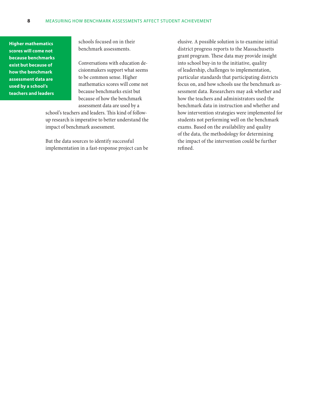**Higher mathematics scores will come not because benchmarks exist but because of how the benchmark assessment data are used by a school's teachers and leaders**

schools focused on in their benchmark assessments.

Conversations with education decisionmakers support what seems to be common sense. Higher mathematics scores will come not because benchmarks exist but because of how the benchmark assessment data are used by a

school's teachers and leaders. This kind of followup research is imperative to better understand the impact of benchmark assessment.

But the data sources to identify successful implementation in a fast-response project can be elusive. A possible solution is to examine initial district progress reports to the Massachusetts grant program. These data may provide insight into school buy-in to the initiative, quality of leadership, challenges to implementation, particular standards that participating districts focus on, and how schools use the benchmark assessment data. Researchers may ask whether and how the teachers and administrators used the benchmark data in instruction and whether and how intervention strategies were implemented for students not performing well on the benchmark exams. Based on the availability and quality of the data, the methodology for determining the impact of the intervention could be further refined.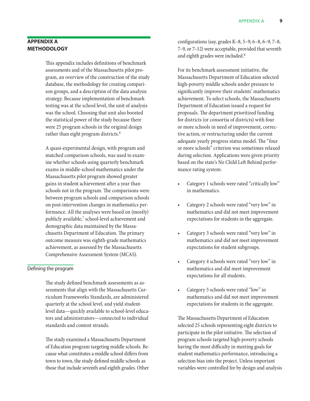## <span id="page-15-0"></span>**Appendix A Methodology**

This appendix includes definitions of benchmark assessments and of the Massachusetts pilot program, an overview of the construction of the study database, the methodology for creating comparison groups, and a description of the data analysis strategy. Because implementation of benchmark testing was at the school level, the unit of analysis was the school. Choosing that unit also boosted the statistical power of the study because there were 25 program schools in the original design rather than eight program districts.<sup>6</sup>

A quasi-experimental design, with program and matched comparison schools, was used to examine whether schools using quarterly benchmark exams in middle-school mathematics under the Massachusetts pilot program showed greater gains in student achievement after a year than schools not in the program. The comparisons were between program schools and comparison schools on post-intervention changes in mathematics performance. All the analyses were based on (mostly) publicly available,<sup>7</sup> school-level achievement and demographic data maintained by the Massachusetts Department of Education. The primary outcome measure was eighth-grade mathematics achievement, as assessed by the Massachusetts Comprehensive Assessment System (MCAS).

#### Defining the program

The study defined benchmark assessments as assessments that align with the Massachusetts Curriculum Frameworks Standards, are administered quarterly at the school level, and yield studentlevel data—quickly available to school-level educators and administrators—connected to individual standards and content strands.

The study examined a Massachusetts Department of Education program targeting middle schools. Because what constitutes a middle school differs from town to town, the study defined middle schools as those that include seventh and eighth grades. Other

configurations (say, grades K–8, 5–9, 6–8, 6–9, 7–8, 7–9, or 7–12) were acceptable, provided that seventh and eighth grades were included.8

For its benchmark assessment initiative, the Massachusetts Department of Education selected high-poverty middle schools under pressure to significantly improve their students' mathematics achievement. To select schools, the Massachusetts Department of Education issued a request for proposals. The department prioritized funding for districts (or consortia of districts) with four or more schools in need of improvement, corrective action, or restructuring under the current adequate yearly progress status model. The "four or more schools" criterion was sometimes relaxed during selection. Applications were given priority based on the state's No Child Left Behind performance rating system:

- Category 1 schools were rated "critically low" in mathematics.
- Category 2 schools were rated "very low" in mathematics and did not meet improvement expectations for students in the aggregate.
- Category 3 schools were rated "very low" in mathematics and did not meet improvement expectations for student subgroups.
- Category 4 schools were rated "very low" in mathematics and did meet improvement expectations for all students.
- Category 5 schools were rated "low" in mathematics and did not meet improvement expectations for students in the aggregate.

The Massachusetts Department of Education selected 25 schools representing eight districts to participate in the pilot initiative. The selection of program schools targeted high-poverty schools having the most difficulty in meeting goals for student mathematics performance, introducing a selection bias into the project. Unless important variables were controlled for by design and analysis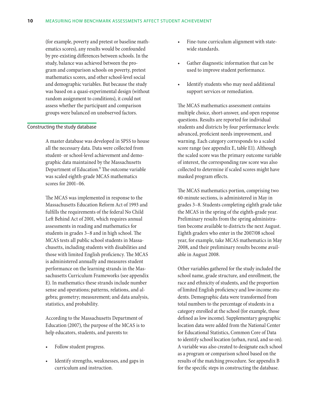(for example, poverty and pretest or baseline mathematics scores), any results would be confounded by pre-existing differences between schools. In the study, balance was achieved between the program and comparison schools on poverty, pretest mathematics scores, and other school-level social and demographic variables. But because the study was based on a quasi-experimental design (without random assignment to conditions), it could not assess whether the participant and comparison groups were balanced on unobserved factors.

#### Constructing the study database

A master database was developed in SPSS to house all the necessary data. Data were collected from student- or school-level achievement and demographic data maintained by the Massachusetts Department of Education.<sup>9</sup> The outcome variable was scaled eighth-grade MCAS mathematics scores for 2001–06.

The MCAS was implemented in response to the Massachusetts Education Reform Act of 1993 and fulfills the requirements of the federal No Child Left Behind Act of 2001, which requires annual assessments in reading and mathematics for students in grades 3–8 and in high school. The MCAS tests all public school students in Massachusetts, including students with disabilities and those with limited English proficiency. The MCAS is administered annually and measures student performance on the learning strands in the Massachusetts Curriculum Frameworks (see appendix E). In mathematics these strands include number sense and operations; patterns, relations, and algebra; geometry; measurement; and data analysis, statistics, and probability.

According to the Massachusetts Department of Education (2007), the purpose of the MCAS is to help educators, students, and parents to:

- Follow student progress.
- Identify strengths, weaknesses, and gaps in curriculum and instruction.
- Fine-tune curriculum alignment with statewide standards.
- Gather diagnostic information that can be used to improve student performance.
- Identify students who may need additional support services or remediation.

The MCAS mathematics assessment contains multiple choice, short-answer, and open response questions. Results are reported for individual students and districts by four performance levels: advanced, proficient needs improvement, and warning. Each category corresponds to a scaled score range (see appendix E, table E1). Although the scaled score was the primary outcome variable of interest, the corresponding raw score was also collected to determine if scaled scores might have masked program effects.

The MCAS mathematics portion, comprising two 60-minute sections, is administered in May in grades 3–8. Students completing eighth grade take the MCAS in the spring of the eighth-grade year. Preliminary results from the spring administration become available to districts the next August. Eighth graders who enter in the 2007/08 school year, for example, take MCAS mathematics in May 2008, and their preliminary results become available in August 2008.

Other variables gathered for the study included the school name, grade structure, and enrollment, the race and ethnicity of students, and the proportion of limited English proficiency and low-income students. Demographic data were transformed from total numbers to the percentage of students in a category enrolled at the school (for example, those defined as low income). Supplementary geographic location data were added from the National Center for Educational Statistics, Common Core of Data to identify school location (urban, rural, and so on). A variable was also created to designate each school as a program or comparison school based on the results of the matching procedure. See appendix B for the specific steps in constructing the database.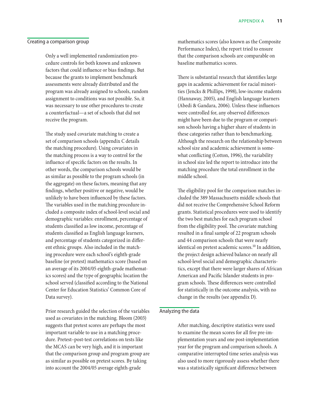#### Creating a comparison group

Only a well implemented randomization procedure controls for both known and unknown factors that could influence or bias findings. But because the grants to implement benchmark assessments were already distributed and the program was already assigned to schools, random assignment to conditions was not possible. So, it was necessary to use other procedures to create a counterfactual—a set of schools that did not receive the program.

The study used covariate matching to create a set of comparison schools (appendix C details the matching procedure). Using covariates in the matching process is a way to control for the influence of specific factors on the results. In other words, the comparison schools would be as similar as possible to the program schools (in the aggregate) on these factors, meaning that any findings, whether positive or negative, would be unlikely to have been influenced by these factors. The variables used in the matching procedure included a composite index of school-level social and demographic variables: enrollment, percentage of students classified as low income, percentage of students classified as English language learners, and percentage of students categorized in different ethnic groups. Also included in the matching procedure were each school's eighth-grade baseline (or pretest) mathematics score (based on an average of its 2004/05 eighth-grade mathematics scores) and the type of geographic location the school served (classified according to the National Center for Education Statistics' Common Core of Data survey).

Prior research guided the selection of the variables used as covariates in the matching. Bloom (2003) suggests that pretest scores are perhaps the most important variable to use in a matching procedure. Pretest–post-test correlations on tests like the MCAS can be very high, and it is important that the comparison group and program group are as similar as possible on pretest scores. By taking into account the 2004/05 average eighth-grade

mathematics scores (also known as the Composite Performance Index), the report tried to ensure that the comparison schools are comparable on baseline mathematics scores.

There is substantial research that identifies large gaps in academic achievement for racial minorities (Jencks & Phillips, 1998), low-income students (Hannaway, 2005), and English language learners (Abedi & Gandara, 2006). Unless these influences were controlled for, any observed differences might have been due to the program or comparison schools having a higher share of students in these categories rather than to benchmarking. Although the research on the relationship between school size and academic achievement is somewhat conflicting (Cotton, 1996), the variability in school size led the report to introduce into the matching procedure the total enrollment in the middle school.

The eligibility pool for the comparison matches included the 389 Massachusetts middle schools that did not receive the Comprehensive School Reform grants. Statistical procedures were used to identify the two best matches for each program school from the eligibility pool. The covariate matching resulted in a final sample of 22 program schools and 44 comparison schools that were nearly identical on pretest academic scores.<sup>10</sup> In addition, the project design achieved balance on nearly all school-level social and demographic characteristics, except that there were larger shares of African American and Pacific Islander students in program schools. These differences were controlled for statistically in the outcome analysis, with no change in the results (see appendix D).

#### Analyzing the data

After matching, descriptive statistics were used to examine the mean scores for all five pre-implementation years and one post-implementation year for the program and comparison schools. A comparative interrupted time series analysis was also used to more rigorously assess whether there was a statistically significant difference between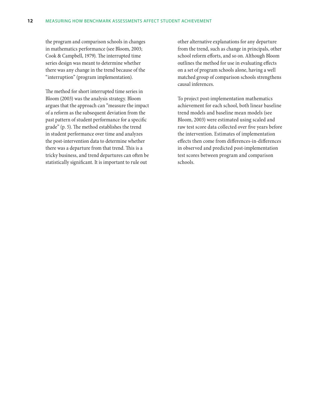the program and comparison schools in changes in mathematics performance (see Bloom, 2003; Cook & Campbell, 1979). The interrupted time series design was meant to determine whether there was any change in the trend because of the "interruption" (program implementation).

The method for short interrupted time series in Bloom (2003) was the analysis strategy. Bloom argues that the approach can "measure the impact of a reform as the subsequent deviation from the past pattern of student performance for a specific grade" (p. 5). The method establishes the trend in student performance over time and analyzes the post-intervention data to determine whether there was a departure from that trend. This is a tricky business, and trend departures can often be statistically significant. It is important to rule out

other alternative explanations for any departure from the trend, such as change in principals, other school reform efforts, and so on. Although Bloom outlines the method for use in evaluating effects on a set of program schools alone, having a well matched group of comparison schools strengthens causal inferences.

To project post-implementation mathematics achievement for each school, both linear baseline trend models and baseline mean models (see Bloom, 2003) were estimated using scaled and raw test score data collected over five years before the intervention. Estimates of implementation effects then come from differences-in-differences in observed and predicted post-implementation test scores between program and comparison schools.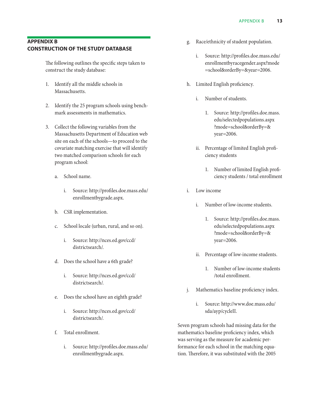## <span id="page-19-0"></span>**Appendix B Construction of the study database**

The following outlines the specific steps taken to construct the study database:

- 1. Identify all the middle schools in Massachusetts.
- 2. Identify the 25 program schools using benchmark assessments in mathematics.
- 3. Collect the following variables from the Massachusetts Department of Education web site on each of the schools—to proceed to the covariate matching exercise that will identify two matched comparison schools for each program school:
	- a. School name.
		- i. Source: http://profiles.doe.mass.edu/ enrollmentbygrade.aspx.
	- b. CSR implementation.
	- c. School locale (urban, rural, and so on).
		- i. Source: http://nces.ed.gov/ccd/ districtsearch/.
	- d. Does the school have a 6th grade?
		- i. Source: http://nces.ed.gov/ccd/ districtsearch/.
	- e. Does the school have an eighth grade?
		- i. Source: http://nces.ed.gov/ccd/ districtsearch/.
	- f. Total enrollment.
		- i. Source: http://profiles.doe.mass.edu/ enrollmentbygrade.aspx.
- g. Race/ethnicity of student population.
	- i. Source: http://profiles.doe.mass.edu/ enrollmentbyracegender.aspx?mode =school&orderBy=&year=2006.
- h. Limited English proficiency.
	- i. Number of students.
		- 1. Source: http://profiles.doe.mass. edu/selectedpopulations.aspx ?mode=school&orderBy=& year=2006.
	- ii. Percentage of limited English proficiency students
		- 1. Number of limited English proficiency students / total enrollment
- i. Low income
	- i. Number of low-income students.
		- 1. Source: http://profiles.doe.mass. edu/selectedpopulations.aspx ?mode=school&orderBy=& year=2006.
	- ii. Percentage of low-income students.
		- 1. Number of low-income students /total enrollment.
- j. Mathematics baseline proficiency index.
	- i. Source: http://www.doe.mass.edu/ sda/ayp/cycleII.

Seven program schools had missing data for the mathematics baseline proficiency index, which was serving as the measure for academic performance for each school in the matching equation. Therefore, it was substituted with the 2005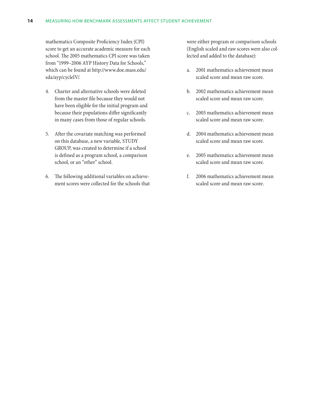#### **14** Measuring how benchmark assessments affect student achievement

mathematics Composite Proficiency Index (CPI) score to get an accurate academic measure for each school. The 2005 mathematics CPI score was taken from "1999–2006 AYP History Data for Schools," which can be found at http://www.doe.mass.edu/ sda/ayp/cycleIV/.

- 4. Charter and alternative schools were deleted from the master file because they would not have been eligible for the initial program and because their populations differ significantly in many cases from those of regular schools.
- 5. After the covariate matching was performed on this database, a new variable, STUDY GROUP, was created to determine if a school is defined as a program school, a comparison school, or an "other" school.
- 6. The following additional variables on achievement scores were collected for the schools that

were either program or comparison schools (English scaled and raw scores were also collected and added to the database):

- a. 2001 mathematics achievement mean scaled score and mean raw score.
- b. 2002 mathematics achievement mean scaled score and mean raw score.
- c. 2003 mathematics achievement mean scaled score and mean raw score.
- d. 2004 mathematics achievement mean scaled score and mean raw score.
- e. 2005 mathematics achievement mean scaled score and mean raw score.
- f. 2006 mathematics achievement mean scaled score and mean raw score.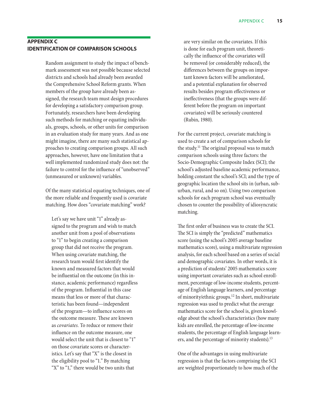## <span id="page-21-0"></span>**Appendix C Identification of comparison schools**

Random assignment to study the impact of benchmark assessment was not possible because selected districts and schools had already been awarded the Comprehensive School Reform grants. When members of the group have already been assigned, the research team must design procedures for developing a satisfactory comparison group. Fortunately, researchers have been developing such methods for matching or equating individuals, groups, schools, or other units for comparison in an evaluation study for many years. And as one might imagine, there are many such statistical approaches to creating comparison groups. All such approaches, however, have one limitation that a well implemented randomized study does not: the failure to control for the influence of "unobserved" (unmeasured or unknown) variables.

Of the many statistical equating techniques, one of the more reliable and frequently used is covariate matching. How does "covariate matching" work?

Let's say we have unit "1" already assigned to the program and wish to match another unit from a pool of observations to "1" to begin creating a comparison group that did not receive the program. When using covariate matching, the research team would first identify the known and measured factors that would be influential on the outcome (in this instance, academic performance) regardless of the program. Influential in this case means that less or more of that characteristic has been found—independent of the program—to influence scores on the outcome measure. These are known as *covariates.* To reduce or remove their influence on the outcome measure, one would select the unit that is closest to "1" on those covariate scores or characteristics. Let's say that "X" is the closest in the eligibility pool to "1." By matching "X" to "1," there would be two units that

are very similar on the covariates. If this is done for each program unit, theoretically the influence of the covariates will be removed (or considerably reduced), the differences between the groups on important known factors will be ameliorated, and a potential explanation for observed results besides program effectiveness or ineffectiveness (that the groups were different before the program on important covariates) will be seriously countered (Rubin, 1980).

For the current project, covariate matching is used to create a set of comparison schools for the study.11 The original proposal was to match comparison schools using three factors: the Socio-Demographic Composite Index (SCI); the school's adjusted baseline academic performance, holding constant the school's SCI; and the type of geographic location the school sits in (urban, suburban, rural, and so on). Using two comparison schools for each program school was eventually chosen to counter the possibility of idiosyncratic matching.

The first order of business was to create the SCI. The SCI is simply the "predicted" mathematics score (using the school's 2005 average baseline mathematics score), using a multivariate regression analysis, for each school based on a series of social and demographic covariates. In other words, it is a prediction of students' 2005 mathematics score using important covariates such as school enrollment, percentage of low-income students, percentage of English language learners, and percentage of minority/ethnic groups.12 In short, multivariate regression was used to predict what the average mathematics score for the school is, given knowledge about the school's characteristics (how many kids are enrolled, the percentage of low-income students, the percentage of English language learners, and the percentage of minority students).<sup>13</sup>

One of the advantages in using multivariate regression is that the factors comprising the SCI are weighted proportionately to how much of the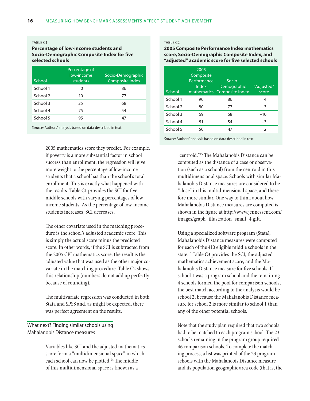#### <span id="page-22-0"></span>TABI F C1

#### **Percentage of low-income students and Socio-Demographic Composite Index for five selected schools**

| School   | Percentage of<br>low-income<br>students | Socio-Demographic<br>Composite Index |
|----------|-----------------------------------------|--------------------------------------|
| School 1 | 0                                       | 86                                   |
| School 2 | 10                                      | 77                                   |
| School 3 | 25                                      | 68                                   |
| School 4 | 75                                      | 54                                   |
| School 5 | 95                                      |                                      |

*Source:* Authors' analysis based on data described in text.

2005 mathematics score they predict. For example, if poverty is a more substantial factor in school success than enrollment, the regression will give more weight to the percentage of low-income students that a school has than the school's total enrollment. This is exactly what happened with the results. Table C1 provides the SCI for five middle schools with varying percentages of lowincome students. As the percentage of low-income students increases, SCI decreases.

The other covariate used in the matching procedure is the school's adjusted academic score. This is simply the actual score minus the predicted score. In other words, if the SCI is subtracted from the 2005 CPI mathematics score, the result is the adjusted value that was used as the other major covariate in the matching procedure. Table C2 shows this relationship (numbers do not add up perfectly because of rounding).

The multivariate regression was conducted in both Stata and SPSS and, as might be expected, there was perfect agreement on the results.

## What next? Finding similar schools using Mahalanobis Distance measures

Variables like SCI and the adjusted mathematics score form a "multidimensional space" in which each school can now be plotted.14 The middle of this multidimensional space is known as a

#### Table C2

#### **2005 Composite Performance Index mathematics score, Socio-Demographic Composite Index, and "adjusted" academic score for five selected schools**

| School   | 2005<br>Composite<br>Performance<br><b>Index</b> | Socio-<br>Demographic<br>mathematics Composite Index | "Adjusted"<br>score |
|----------|--------------------------------------------------|------------------------------------------------------|---------------------|
| School 1 | 90                                               | 86                                                   | 4                   |
| School 2 | 80                                               | 77                                                   | 3                   |
| School 3 | 59                                               | 68                                                   | $-10$               |
| School 4 | 51                                               | 54                                                   | $-3$                |
| School 5 | 50                                               | 47                                                   | $\mathcal{P}$       |

*Source:* Authors' analysis based on data described in text.

"centroid."15 The Mahalanobis Distance can be computed as the distance of a case or observation (such as a school) from the centroid in this multidimensional space. Schools with similar Mahalanobis Distance measures are considered to be "close" in this multidimensional space, and therefore more similar. One way to think about how Mahalanobis Distance measures are computed is shown in the figure at http://www.jennessent.com/ images/graph\_illustration\_small\_4.gift.

Using a specialized software program (Stata), Mahalanobis Distance measures were computed for each of the 410 eligible middle schools in the state.16 Table C3 provides the SCI, the adjusted mathematics achievement score, and the Mahalanobis Distance measure for five schools. If school 1 was a program school and the remaining 4 schools formed the pool for comparison schools, the best match according to the analysis would be school 2, because the Mahalanobis Distance measure for school 2 is more similar to school 1 than any of the other potential schools.

Note that the study plan required that two schools had to be matched to each program school. The 23 schools remaining in the program group required 46 comparison schools. To complete the matching process, a list was printed of the 23 program schools with the Mahalanobis Distance measure and its population geographic area code (that is, the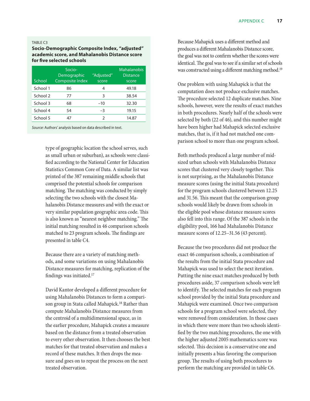#### <span id="page-23-0"></span>Table C3

#### **Socio-Demographic Composite Index, "adjusted" academic score, and Mahalanobis Distance score for five selected schools**

| School   | Socio-<br>Demographic<br><b>Composite Index</b> | "Adjusted"<br>score | Mahalanobis<br><b>Distance</b><br>score |
|----------|-------------------------------------------------|---------------------|-----------------------------------------|
| School 1 | 86                                              | 4                   | 49.18                                   |
| School 2 | 77                                              | 3                   | 38.54                                   |
| School 3 | 68                                              | $-10$               | 32.30                                   |
| School 4 | 54                                              | $-3$                | 19.15                                   |
| School 5 | 47                                              | っ                   | 14.87                                   |

*Source:* Authors' analysis based on data described in text.

type of geographic location the school serves, such as small urban or suburban), as schools were classified according to the National Center for Education Statistics Common Core of Data. A similar list was printed of the 387 remaining middle schools that comprised the potential schools for comparison matching. The matching was conducted by simply selecting the two schools with the closest Mahalanobis Distance measures and with the exact or very similar population geographic area code. This is also known as "nearest neighbor matching." The initial matching resulted in 46 comparison schools matched to 23 program schools. The findings are presented in table C4.

Because there are a variety of matching methods, and some variations on using Mahalanobis Distance measures for matching, replication of the findings was initiated.17

David Kantor developed a different procedure for using Mahalanobis Distances to form a comparison group in Stata called Mahapick.<sup>18</sup> Rather than compute Mahalanobis Distance measures from the centroid of a multidimensional space, as in the earlier procedure, Mahapick creates a measure based on the distance from a treated observation to every other observation. It then chooses the best matches for that treated observation and makes a record of these matches. It then drops the measure and goes on to repeat the process on the next treated observation.

Because Mahapick uses a different method and produces a different Mahalanobis Distance score, the goal was not to confirm whether the scores were identical. The goal was to see if a similar set of schools was constructed using a different matching method.<sup>19</sup>

One problem with using Mahapick is that the computation does not produce exclusive matches. The procedure selected 12 duplicate matches. Nine schools, however, were the results of exact matches in both procedures. Nearly half of the schools were selected by both (22 of 46), and this number might have been higher had Mahapick selected exclusive matches, that is, if it had not matched one comparison school to more than one program school.

Both methods produced a large number of midsized urban schools with Mahalanobis Distance scores that clustered very closely together. This is not surprising, as the Mahalanobis Distance measure scores (using the initial Stata procedure) for the program schools clustered between 12.25 and 31.56. This meant that the comparison group schools would likely be drawn from schools in the eligible pool whose distance measure scores also fell into this range. Of the 387 schools in the eligibility pool, 166 had Mahalanobis Distance measure scores of 12.25–31.56 (43 percent).

Because the two procedures did not produce the exact 46 comparison schools, a combination of the results from the initial Stata procedure and Mahapick was used to select the next iteration. Putting the nine exact matches produced by both procedures aside, 37 comparison schools were left to identify. The selected matches for each program school provided by the initial Stata procedure and Mahapick were examined. Once two comparison schools for a program school were selected, they were removed from consideration. In those cases in which there were more than two schools identified by the two matching procedures, the one with the higher adjusted 2005 mathematics score was selected. This decision is a conservative one and initially presents a bias favoring the comparison group. The results of using both procedures to perform the matching are provided in table C6.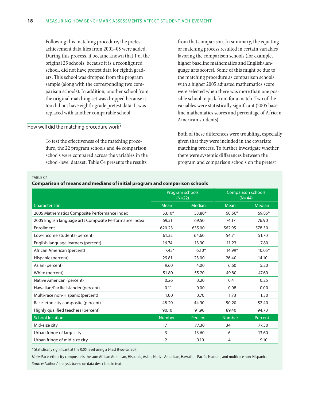<span id="page-24-0"></span>Following this matching procedure, the pretest achievement data files from 2001–05 were added. During this process, it became known that 1 of the original 25 schools, because it is a reconfigured school, did not have pretest data for eighth graders. This school was dropped from the program sample (along with the corresponding two comparison schools). In addition, another school from the original matching set was dropped because it too did not have eighth-grade pretest data. It was replaced with another comparable school.

#### How well did the matching procedure work?

To test the effectiveness of the matching procedure, the 22 program schools and 44 comparison schools were compared across the variables in the school-level dataset. Table C4 presents the results

from that comparison. In summary, the equating or matching process resulted in certain variables favoring the comparison schools (for example, higher baseline mathematics and English/language arts scores). Some of this might be due to the matching procedure as comparison schools with a higher 2005 adjusted mathematics score were selected when there was more than one possible school to pick from for a match. Two of the variables were statistically significant (2005 baseline mathematics scores and percentage of African American students).

Both of these differences were troubling, especially given that they were included in the covariate matching process. To further investigate whether there were systemic differences between the program and comparison schools on the pretest

TABLE<sub>C4</sub>

| Comparison of means and medians of initial program and comparison schools |  |  |  |  |
|---------------------------------------------------------------------------|--|--|--|--|
|                                                                           |  |  |  |  |
|                                                                           |  |  |  |  |
|                                                                           |  |  |  |  |

|                                                        | Program schools<br>$(N=22)$ |         | <b>Comparison schools</b><br>$(N=44)$ |               |
|--------------------------------------------------------|-----------------------------|---------|---------------------------------------|---------------|
| Characteristic                                         | Mean                        | Median  | Mean                                  | <b>Median</b> |
| 2005 Mathematics Composite Performance Index           | $53.10*$                    | 53.80*  | $60.56*$                              | 59.85*        |
| 2005 English language arts Composite Performance Index | 69.51                       | 69.50   | 74.17                                 | 76.90         |
| Enrollment                                             | 620.23                      | 635.00  | 562.95                                | 578.50        |
| Low-income students (percent)                          | 61.32                       | 64.60   | 54.71                                 | 51.70         |
| English language learners (percent)                    | 16.74                       | 13.90   | 11.23                                 | 7.80          |
| African American (percent)                             | $7.45*$                     | $6.10*$ | 14.99*                                | $10.05*$      |
| Hispanic (percent)                                     | 29.81                       | 23.00   | 26.40                                 | 14.10         |
| Asian (percent)                                        | 9.60                        | 4.00    | 6.60                                  | 5.20          |
| White (percent)                                        | 51.80                       | 55.20   | 49.80                                 | 47.60         |
| Native American (percent)                              | 0.26                        | 0.20    | 0.41                                  | 0.25          |
| Hawaiian/Pacific Islander (percent)                    | 0.11                        | 0.00    | 0.08                                  | 0.00          |
| Multi-race non-Hispanic (percent)                      | 1.00                        | 0.70    | 1.73                                  | 1.30          |
| Race-ethnicity composite (percent)                     | 48.20                       | 44.90   | 50.20                                 | 52.40         |
| Highly qualified teachers (percent)                    | 90.10                       | 91.90   | 89.40                                 | 94.70         |
| <b>School location</b>                                 | <b>Number</b>               | Percent | <b>Number</b>                         | Percent       |
| Mid-size city                                          | 17                          | 77.30   | 34                                    | 77.30         |
| Urban fringe of large city                             | 3                           | 13.60   | 6                                     | 13.60         |
| Urban fringe of mid-size city                          | $\overline{2}$              | 9.10    | 4                                     | 9.10          |

\* Statistically significant at the 0.05 level using a t-test (two-tailed).

*Note:* Race-ethnicity composite is the sum African American, Hispanic, Asian, Native American, Hawaiian, Pacific Islander, and multirace non-Hispanic. *Source:* Authors' analysis based on data described in text.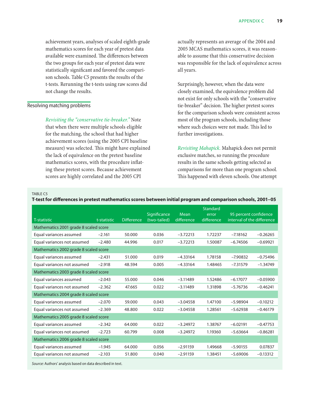<span id="page-25-0"></span>achievement years, analyses of scaled eighth-grade mathematics scores for each year of pretest data available were examined. The differences between the two groups for each year of pretest data were statistically significant and favored the comparison schools. Table C5 presents the results of the t-tests. Rerunning the t-tests using raw scores did not change the results.

#### Resolving matching problems

*Revisiting the "conservative tie-breaker."* Note that when there were multiple schools eligible for the matching, the school that had higher achievement scores (using the 2005 CPI baseline measure) was selected. This might have explained the lack of equivalence on the pretest baseline mathematics scores, with the procedure inflating these pretest scores. Because achievement scores are highly correlated and the 2005 CPI

actually represents an average of the 2004 and 2005 MCAS mathematics scores, it was reasonable to assume that this conservative decision was responsible for the lack of equivalence across all years.

Surprisingly, however, when the data were closely examined, the equivalence problem did not exist for only schools with the "conservative tie-breaker" decision. The higher pretest scores for the comparison schools were consistent across most of the program schools, including those where such choices were not made. This led to further investigations.

*Revisiting Mahapick.* Mahapick does not permit exclusive matches, so running the procedure results in the same schools getting selected as comparisons for more than one program school. This happened with eleven schools. One attempt

#### Table C5

**T-test for differences in pretest mathematics scores between initial program and comparison schools, 2001–05**

|                                       |             |                   | Significance | Mean       | <b>Standard</b><br>error | 95 percent confidence      |            |
|---------------------------------------|-------------|-------------------|--------------|------------|--------------------------|----------------------------|------------|
| <b>T-statistic</b>                    | t-statistic | <b>Difference</b> | (two-tailed) | difference | difference               | interval of the difference |            |
| Mathematics 2001 grade 8 scaled score |             |                   |              |            |                          |                            |            |
| Equal variances assumed               | $-2.161$    | 50.000            | 0.036        | $-3.72213$ | 1.72237                  | $-7.18162$                 | $-0.26265$ |
| Equal variances not assumed           | $-2.480$    | 44.996            | 0.017        | $-3.72213$ | 1.50087                  | $-6.74506$                 | $-0.69921$ |
| Mathematics 2002 grade 8 scaled score |             |                   |              |            |                          |                            |            |
| Equal variances assumed               | $-2.431$    | 51.000            | 0.019        | $-4.33164$ | 1.78158                  | $-7.90832$                 | $-0.75496$ |
| Equal variances not assumed           | $-2.918$    | 48.594            | 0.005        | $-4.33164$ | 1.48465                  | $-7.31579$                 | $-1.34749$ |
| Mathematics 2003 grade 8 scaled score |             |                   |              |            |                          |                            |            |
| Equal variances assumed               | $-2.043$    | 55.000            | 0.046        | $-3.11489$ | 1.52486                  | $-6.17077$                 | $-0.05900$ |
| Equal variances not assumed           | $-2.362$    | 47.665            | 0.022        | $-3.11489$ | 1.31898                  | $-5.76736$                 | $-0.46241$ |
| Mathematics 2004 grade 8 scaled score |             |                   |              |            |                          |                            |            |
| Equal variances assumed               | $-2.070$    | 59.000            | 0.043        | $-3.04558$ | 1.47100                  | $-5.98904$                 | $-0.10212$ |
| Equal variances not assumed           | $-2.369$    | 48.800            | 0.022        | $-3.04558$ | 1.28561                  | $-5.62938$                 | $-0.46179$ |
| Mathematics 2005 grade 8 scaled score |             |                   |              |            |                          |                            |            |
| Equal variances assumed               | $-2.342$    | 64.000            | 0.022        | $-3.24972$ | 1.38767                  | $-6.02191$                 | $-0.47753$ |
| Equal variances not assumed           | $-2.723$    | 60.799            | 0.008        | $-3.24972$ | 1.19360                  | $-5.63664$                 | $-0.86281$ |
| Mathematics 2006 grade 8 scaled score |             |                   |              |            |                          |                            |            |
| Equal variances assumed               | $-1.945$    | 64.000            | 0.056        | $-2.91159$ | 1.49668                  | $-5.90155$                 | 0.07837    |
| Equal variances not assumed           | $-2.103$    | 51.800            | 0.040        | $-2.91159$ | 1.38451                  | $-5.69006$                 | $-0.13312$ |

*Source:* Authors' analysis based on data described in text.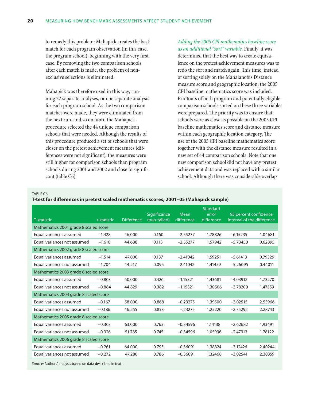<span id="page-26-0"></span>to remedy this problem: Mahapick creates the best match for each program observation (in this case, the program school), beginning with the very first case. By removing the two comparison schools after each match is made, the problem of nonexclusive selections is eliminated.

Mahapick was therefore used in this way, running 22 separate analyses, or one separate analysis for each program school. As the two comparison matches were made, they were eliminated from the next run, and so on, until the Mahapick procedure selected the 44 unique comparison schools that were needed. Although the results of this procedure produced a set of schools that were closer on the pretest achievement measures (differences were not significant), the measures were still higher for comparison schools than program schools during 2001 and 2002 and close to significant (table C6).

## *Adding the 2005 CPI mathematics baseline score as an additional "sort" variable.* Finally, it was determined that the best way to create equivalence on the pretest achievement measures was to redo the sort and match again. This time, instead of sorting solely on the Mahalanobis Distance measure score and geographic location, the 2005 CPI baseline mathematics score was included. Printouts of both program and potentially eligible comparison schools sorted on these three variables were prepared. The priority was to ensure that schools were as close as possible on the 2005 CPI baseline mathematics score and distance measure within each geographic location category. The use of the 2005 CPI baseline mathematics score together with the distance measure resulted in a new set of 44 comparison schools. Note that one new comparison school did not have any pretest achievement data and was replaced with a similar school. Although there was considerable overlap

#### TABLE C6

**T-test for differences in pretest scaled mathematics scores, 2001–05 (Mahapick sample)**

|                                       |             |                   |                              |                    | Standard            |                                                     |         |
|---------------------------------------|-------------|-------------------|------------------------------|--------------------|---------------------|-----------------------------------------------------|---------|
| <b>T-statistic</b>                    | t-statistic | <b>Difference</b> | Significance<br>(two-tailed) | Mean<br>difference | error<br>difference | 95 percent confidence<br>interval of the difference |         |
| Mathematics 2001 grade 8 scaled score |             |                   |                              |                    |                     |                                                     |         |
| Equal variances assumed               | $-1.428$    | 46.000            | 0.160                        | $-2.55277$         | 1.78826             | $-6.15235$                                          | 1.04681 |
| Equal variances not assumed           | $-1.616$    | 44.688            | 0.113                        | $-2.55277$         | 1.57942             | $-5.73450$                                          | 0.62895 |
| Mathematics 2002 grade 8 scaled score |             |                   |                              |                    |                     |                                                     |         |
| Equal variances assumed               | $-1.514$    | 47.000            | 0.137                        | $-2.41042$         | 1.59251             | $-5.61413$                                          | 0.79329 |
| Equal variances not assumed           | $-1.704$    | 44.217            | 0.095                        | $-2.41042$         | 1.41459             | $-5.26095$                                          | 0.44011 |
| Mathematics 2003 grade 8 scaled score |             |                   |                              |                    |                     |                                                     |         |
| Equal variances assumed               | $-0.803$    | 50.000            | 0.426                        | $-1.15321$         | 1.43681             | $-4.03912$                                          | 1.73270 |
| Equal variances not assumed           | $-0.884$    | 44.829            | 0.382                        | $-1.15321$         | 1.30506             | $-3.78200$                                          | 1.47559 |
| Mathematics 2004 grade 8 scaled score |             |                   |                              |                    |                     |                                                     |         |
| Equal variances assumed               | $-0.167$    | 58.000            | 0.868                        | $-0.23275$         | 1.39500             | $-3.02515$                                          | 2.55966 |
| Equal variances not assumed           | $-0.186$    | 46.255            | 0.853                        | $-.23275$          | 1.25220             | $-2.75292$                                          | 2.28743 |
| Mathematics 2005 grade 8 scaled score |             |                   |                              |                    |                     |                                                     |         |
| Equal variances assumed               | $-0.303$    | 63.000            | 0.763                        | $-0.34596$         | 1.14138             | $-2.62682$                                          | 1.93491 |
| Equal variances not assumed           | $-0.326$    | 51.785            | 0.745                        | $-0.34596$         | 1.05996             | $-2.47313$                                          | 1.78122 |
| Mathematics 2006 grade 8 scaled score |             |                   |                              |                    |                     |                                                     |         |
| Equal variances assumed               | $-0.261$    | 64.000            | 0.795                        | $-0.36091$         | 1.38324             | $-3.12426$                                          | 2.40244 |
| Equal variances not assumed           | $-0.272$    | 47.280            | 0.786                        | $-0.36091$         | 1.32468             | $-3.02541$                                          | 2.30359 |

*Source:* Authors' analysis based on data described in text.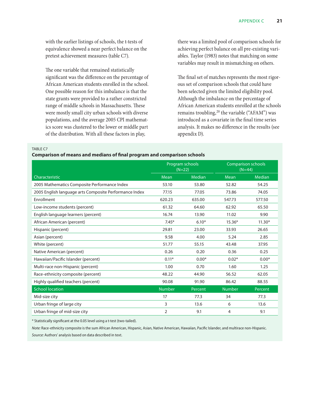<span id="page-27-0"></span>with the earlier listings of schools, the t-tests of equivalence showed a near perfect balance on the pretest achievement measures (table C7).

The one variable that remained statistically significant was the difference on the percentage of African American students enrolled in the school. One possible reason for this imbalance is that the state grants were provided to a rather constricted range of middle schools in Massachusetts. These were mostly small city urban schools with diverse populations, and the average 2005 CPI mathematics score was clustered to the lower or middle part of the distribution. With all these factors in play,

there was a limited pool of comparison schools for achieving perfect balance on all pre-existing variables. Taylor (1983) notes that matching on some variables may result in mismatching on others.

The final set of matches represents the most rigorous set of comparison schools that could have been selected given the limited eligibility pool. Although the imbalance on the percentage of African American students enrolled at the schools remains troubling,<sup>20</sup> the variable ("AFAM") was introduced as a covariate in the final time series analysis. It makes no difference in the results (see appendix D).

TABLE C7

#### **Comparison of means and medians of final program and comparison schools**

|                                                        | Program schools<br>$(N=22)$ |         | $(N=44)$ | <b>Comparison schools</b> |
|--------------------------------------------------------|-----------------------------|---------|----------|---------------------------|
| Characteristic                                         | Mean                        | Median  | Mean     | <b>Median</b>             |
| 2005 Mathematics Composite Performance Index           | 53.10                       | 53.80   | 52.82    | 54.25                     |
| 2005 English language arts Composite Performance Index | 77.15                       | 77.05   | 73.86    | 74.05                     |
| Enrollment                                             | 620.23                      | 635.00  | 547.73   | 577.50                    |
| Low-income students (percent)                          | 61.32                       | 64.60   | 62.92    | 65.50                     |
| English language learners (percent)                    | 16.74                       | 13.90   | 11.02    | 9.90                      |
| African American (percent)                             | $7.45*$                     | $6.10*$ | $15.36*$ | $11.30*$                  |
| Hispanic (percent)                                     | 29.81                       | 23.00   | 33.93    | 26.65                     |
| Asian (percent)                                        | 9.58                        | 4.00    | 5.24     | 2.85                      |
| White (percent)                                        | 51.77                       | 55.15   | 43.48    | 37.95                     |
| Native American (percent)                              | 0.26                        | 0.20    | 0.36     | 0.25                      |
| Hawaiian/Pacific Islander (percent)                    | $0.11*$                     | $0.00*$ | $0.02*$  | $0.00*$                   |
| Multi-race non-Hispanic (percent)                      | 1.00                        | 0.70    | 1.60     | 1.25                      |
| Race-ethnicity composite (percent)                     | 48.22                       | 44.90   | 56.52    | 62.05                     |
| Highly qualified teachers (percent)                    | 90.08                       | 91.90   | 86.42    | 88.55                     |
| <b>School location</b>                                 | <b>Number</b>               | Percent | Number   | Percent                   |
| Mid-size city                                          | 17                          | 77.3    | 34       | 77.3                      |
| Urban fringe of large city                             | 3                           | 13.6    | 6        | 13.6                      |
| Urban fringe of mid-size city                          | 2                           | 9.1     | 4        | 9.1                       |

\* Statistically significant at the 0.05 level using a t-test (two-tailed).

*Note:* Race-ethnicity composite is the sum African American, Hispanic, Asian, Native American, Hawaiian, Pacific Islander, and multirace non-Hispanic. *Source:* Authors' analysis based on data described in text.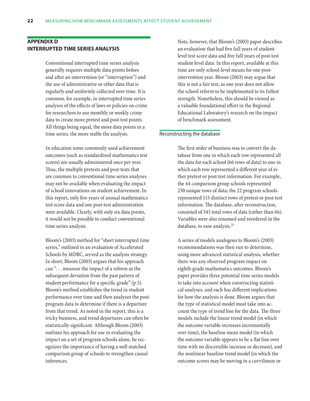## <span id="page-28-0"></span>**Appendix D Interrupted time series analysis**

Conventional interrupted time series analysis generally requires multiple data points before and after an intervention (or "interruption") and the use of administrative or other data that is regularly and uniformly collected over time. It is common, for example, in interrupted time series analyses of the effects of laws or policies on crime for researchers to use monthly or weekly crime data to create more pretest and post-test points. All things being equal, the more data points in a time series, the more stable the analysis.

In education some commonly used achievement outcomes (such as standardized mathematics test scores) are usually administered once per year. Thus, the multiple pretests and post-tests that are common to conventional time series analyses may not be available when evaluating the impact of school innovations on student achievement. In this report, only five years of annual mathematics test score data and one post-test administration were available. Clearly, with only six data points, it would not be possible to conduct conventional time series analysis.

Bloom's (2003) method for "short interrupted time series," outlined in an evaluation of Accelerated Schools by MDRC, served as the analysis strategy. In short, Bloom (2003) argues that his approach can ". . . measure the impact of a reform as the subsequent deviation from the past pattern of student performance for a specific grade" (p.5). Bloom's method establishes the trend in student performance over time and then analyzes the postprogram data to determine if there is a departure from that trend. As noted in the report, this is a tricky business, and trend departures can often be statistically significant. Although Bloom (2003) outlines his approach for use in evaluating the impact on a set of program schools alone, he recognizes the importance of having a well matched comparison group of schools to strengthen causal inferences.

Note, however, that Bloom's (2003) paper describes an evaluation that had five full years of studentlevel test score data and five full years of post-test student-level data. In this report, available at this time are only school-level means for one postintervention year. Bloom (2003) may argue that this is not a fair test, as one year does not allow the school reform to be implemented to its fullest strength. Nonetheless, this should be viewed as a valuable foundational effort in the Regional Educational Laboratory's research on the impact of benchmark assessment.

#### Reconstructing the database

The first order of business was to convert the database from one in which each row represented all the data for each school (66 rows of data) to one in which each row represented a different year of either pretest or post-test information. For example, the 44 comparison group schools represented 230 unique rows of data; the 22 program schools represented 115 distinct rows of pretest or post-test information. The database, after reconstruction, consisted of 345 total rows of data (rather than 66). Variables were also renamed and reordered in the database, to ease analysis.<sup>21</sup>

A series of models analogous to Bloom's (2003) recommendations was then run to determine, using more advanced statistical analysis, whether there was any observed program impact on eighth-grade mathematics outcomes. Bloom's paper provides three potential time series models to take into account when constructing statistical analyses, and each has different implications for how the analysis is done. Bloom argues that the type of statistical model must take into account the type of trend line for the data. The three models include the linear trend model (in which the outcome variable increases incrementally over time), the baseline mean model (in which the outcome variable appears to be a flat line over time with no discernible increase or decrease), and the nonlinear baseline trend model (in which the outcome scores may be moving in a curvilinear or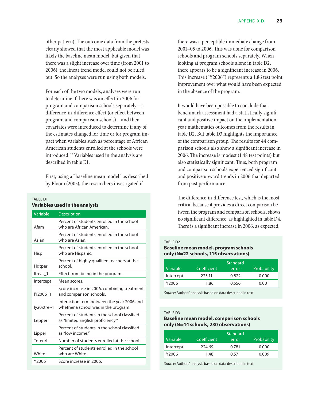<span id="page-29-0"></span>other pattern). The outcome data from the pretests clearly showed that the most applicable model was likely the baseline mean model, but given that there was a slight increase over time (from 2001 to 2006), the linear trend model could not be ruled out. So the analyses were run using both models.

For each of the two models, analyses were run to determine if there was an effect in 2006 for program and comparison schools separately—a difference-in-difference effect (or effect between program and comparison schools)—and then covariates were introduced to determine if any of the estimates changed for time or for program impact when variables such as percentage of African American students enrolled at the schools were introduced.<sup>22</sup> Variables used in the analysis are described in table D1.

First, using a "baseline mean model" as described by Bloom (2003), the researchers investigated if

#### TARI F D1 **Variables used in the analysis**

| Variable   | <b>Description</b>                                                                 |
|------------|------------------------------------------------------------------------------------|
| Afam       | Percent of students enrolled in the school<br>who are African American.            |
| Asian      | Percent of students enrolled in the school<br>who are Asian.                       |
| Hisp       | Percent of students enrolled in the school<br>who are Hispanic.                    |
| Hatper     | Percent of highly qualified teachers at the<br>school.                             |
| Itreat 1   | Effect from being in the program.                                                  |
| Intercept  | Mean scores.                                                                       |
| IY2006 1   | Score increase in 2006, combining treatment<br>and comparison schools.             |
| ly20xtre~1 | Interaction term between the year 2006 and<br>whether a school was in the program. |
| Lepper     | Percent of students in the school classified<br>as "limited English proficiency."  |
| Lipper     | Percent of students in the school classified<br>as "low income."                   |
| Totenrl    | Number of students enrolled at the school.                                         |
| White      | Percent of students enrolled in the school<br>who are White.                       |
| Y2006      | Score increase in 2006.                                                            |

there was a perceptible immediate change from 2001–05 to 2006. This was done for comparison schools and program schools separately. When looking at program schools alone in table D2, there appears to be a significant increase in 2006. This increase ("Y2006") represents a 1.86 test point improvement over what would have been expected in the absence of the program.

It would have been possible to conclude that benchmark assessment had a statistically significant and positive impact on the implementation year mathematics outcomes from the results in table D2. But table D3 highlights the importance of the comparison group. The results for 44 comparison schools also show a significant increase in 2006. The increase is modest (1.48 test points) but also statistically significant. Thus, both program and comparison schools experienced significant and positive upward trends in 2006 that departed from past performance.

The difference-in-difference test, which is the most critical because it provides a direct comparison between the program and comparison schools, shows no significant difference, as highlighted in table D4. There is a significant increase in 2006, as expected,

#### Table D2

#### **Baseline mean model, program schools only (N=22 schools, 115 observations)**

|           |             | Standard |             |
|-----------|-------------|----------|-------------|
| Variable  | Coefficient | error    | Probability |
| Intercept | 225.11      | 0.822    | 0.000       |
| Y2006     | 1.86        | 0.556    | 0.001       |

*Source:* Authors' analysis based on data described in text.

#### Table D3

#### **Baseline mean model, comparison schools only (N=44 schools, 230 observations)**

|                       |             | Standard |             |
|-----------------------|-------------|----------|-------------|
| Variable <sup>'</sup> | Coefficient | error    | Probability |
| Intercept             | 224.69      | 0.781    | 0.000       |
| Y2006                 | 1.48        | በ 57     | 0.009       |

*Source:* Authors' analysis based on data described in text.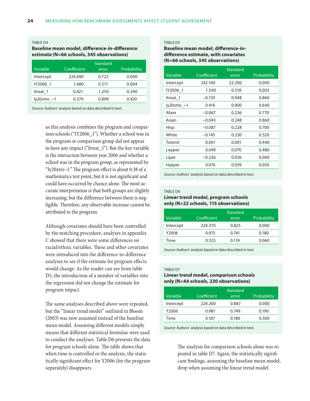#### <span id="page-30-0"></span>Table D4

#### **Baseline mean model, difference-in-difference estimate (N=66 schools, 345 observations)**

|                |             | <b>Standard</b> |             |
|----------------|-------------|-----------------|-------------|
| Variable       | Coefficient | error           | Probability |
| Intercept      | 224.690     | 0.722           | 0.000       |
| IY2006 1       | 1.480       | 0.517           | 0.004       |
| Itreat 1       | 0.421       | 1.250           | 0.340       |
| $ly20x$ tre ~1 | 0.379       | 0.899           | 0.420       |

*Source:* Authors' analysis based on data described in text.

as this analysis combines the program and comparison schools ("IY2006\_1"). Whether a school was in the program or comparison group did not appear to have any impact ("Itreat\_1"). But the key variable is the interaction between year 2006 and whether a school was in the program group, as represented by "Iy20xtre~1." The program effect is about 0.38 of a mathematics test point, but it is not significant and could have occurred by chance alone. The most accurate interpretation is that both groups are slightly increasing, but the difference between them is negligible. Therefore, any observable increase cannot be attributed to the program.

Although covariates should have been controlled by the matching procedure, analyses in appendix C showed that there were some differences on racial/ethnic variables. These and other covariates were introduced into the difference-in-difference analyses to see if the estimate for program effects would change. As the reader can see from table D5, the introduction of a number of variables into the regression did not change the estimate for program impact.

The same analyses described above were repeated, but the "linear trend model" outlined in Bloom (2003) was now assumed instead of the baseline mean model. Assuming different models simply means that different statistical formulae were used to conduct the analyses. Table D6 presents the data for program schools alone. The table shows that when time is controlled in the analysis, the statistically significant effect for Y2006 (for the program separately) disappears.

#### TABLE D5

#### **Baseline mean model, difference-indifference estimate, with covariates (N=66 schools, 345 observations)**

| Variable       | Coefficient | Standard<br>error | Probability |
|----------------|-------------|-------------------|-------------|
| Intercept      | 242.140     | 22.290            | 0.000       |
| IY2006 1       | 1.540       | 0.518             | 0.003       |
| ltreat 1       | $-0.159$    | 0.948             | 0.860       |
| $ly20$ xtre ~1 | 0.416       | 0.900             | 0.640       |
| Afam           | $-0.067$    | 0.236             | 0.770       |
| Asian          | $-0.043$    | 0.248             | 0.860       |
| Hisp           | $-0.087$    | 0.228             | 0.700       |
| White          | $-0.145$    | 0.230             | 0.520       |
| Totenrl        | 0.001       | 0.001             | 0.440       |
| Lepper         | 0.049       | 0.070             | 0.480       |
| Liper          | $-0.236$    | 0.036             | 0.000       |
| Hqtper         | 0.076       | 0.039             | 0.050       |

*Source:* Authors' analysis based on data described in text.

#### TARI F D6

#### **Linear trend model, program schools only (N=22 schools, 115 observations)**

|           |             | Standard |             |
|-----------|-------------|----------|-------------|
| Variable  | Coefficient | error    | Probability |
| Intercept | 224,370     | 0.825    | 0.000       |
| Y2006     | 0.975       | 0.741    | 0.180       |
| Time      | 0.325       | 0.174    | 0.060       |

*Source:* Authors' analysis based on data described in text.

#### TARI F D7

#### **Linear trend model, comparison schools only (N=44 schools, 230 observations)**

|           |             | <b>Standard</b> |             |
|-----------|-------------|-----------------|-------------|
| Variable  | Coefficient | error           | Probability |
| Intercept | 224,260     | 0.887           | 0.000       |
| Y2006     | 0.981       | 0.749           | 0.190       |
| Time      | 0.187       | 0.180           | 0.300       |

*Source:* Authors' analysis based on data described in text.

The analysis for comparison schools alone was repeated in table D7. Again, the statistically significant findings, assuming the baseline mean model, drop when assuming the linear trend model.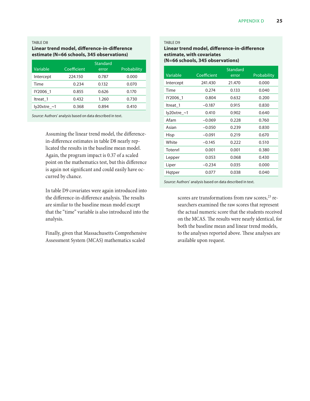#### <span id="page-31-0"></span>Table D8

#### **Linear trend model, difference-in-difference estimate (N=66 schools, 345 observations)**

|                |             | <b>Standard</b> |             |
|----------------|-------------|-----------------|-------------|
| Variable       | Coefficient | error           | Probability |
| Intercept      | 224.150     | 0.787           | 0.000       |
| Time           | 0.234       | 0.132           | 0.070       |
| IY2006 1       | 0.855       | 0.626           | 0.170       |
| Itreat 1       | 0.432       | 1.260           | 0.730       |
| $ly20x$ tre ~1 | 0.368       | 0.894           | 0.410       |

*Source:* Authors' analysis based on data described in text.

Assuming the linear trend model, the differencein-difference estimates in table D8 nearly replicated the results in the baseline mean model. Again, the program impact is 0.37 of a scaled point on the mathematics test, but this difference is again not significant and could easily have occurred by chance.

In table D9 covariates were again introduced into the difference-in-difference analysis. The results are similar to the baseline mean model except that the "time" variable is also introduced into the analysis.

Finally, given that Massachusetts Comprehensive Assessment System (MCAS) mathematics scaled

#### Table D9

#### **Linear trend model, difference-in-difference estimate, with covariates (N=66 schools, 345 observations)**

|             |             | Standard |             |
|-------------|-------------|----------|-------------|
| Variable    | Coefficient | error    | Probability |
| Intercept   | 241.430     | 21.470   | 0.000       |
| Time        | 0.274       | 0.133    | 0.040       |
| IY2006 1    | 0.804       | 0.632    | 0.200       |
| ltreat 1    | $-0.187$    | 0.915    | 0.830       |
| ly20xtre_~1 | 0.410       | 0.902    | 0.640       |
| Afam        | $-0.069$    | 0.228    | 0.760       |
| Asian       | $-0.050$    | 0.239    | 0.830       |
| Hisp        | $-0.091$    | 0.219    | 0.670       |
| White       | $-0.145$    | 0.222    | 0.510       |
| Totenrl     | 0.001       | 0.001    | 0.380       |
| Lepper      | 0.053       | 0.068    | 0.430       |
| Liper       | $-0.234$    | 0.035    | 0.000       |
| Hqtper      | 0.077       | 0.038    | 0.040       |

*Source:* Authors' analysis based on data described in text.

scores are transformations from raw scores, $^{23}$  researchers examined the raw scores that represent the actual numeric score that the students received on the MCAS. The results were nearly identical, for both the baseline mean and linear trend models, to the analyses reported above. These analyses are available upon request.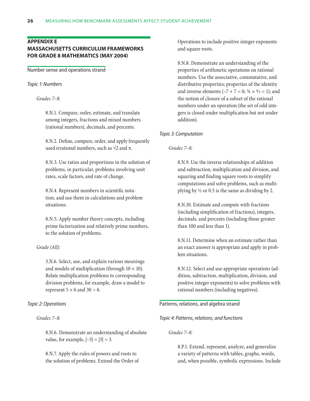## <span id="page-32-0"></span>**Appendix E**

## **Massachusetts Curriculum Frameworks for grade 8 mathematics (May 2004)**

Number sense and operations strand

#### *Topic 1: Numbers*

*Grades 7–8:*

8.N.1. Compare, order, estimate, and translate among integers, fractions and mixed numbers (rational numbers), decimals, and percents.

8.N.2. Define, compare, order, and apply frequently used irrational numbers, such as  $\sqrt{2}$  and  $\pi$ .

8.N.3. Use ratios and proportions in the solution of problems, in particular, problems involving unit rates, scale factors, and rate of change.

8.N.4. Represent numbers in scientific notation, and use them in calculations and problem situations.

8.N.5. Apply number theory concepts, including prime factorization and relatively prime numbers, to the solution of problems.

## *Grade (All):*

3.N.6. Select, use, and explain various meanings and models of multiplication (through  $10 \times 10$ ). Relate multiplication problems to corresponding division problems, for example, draw a model to represent  $5 \times 6$  and  $30 \div 6$ .

## *Topic 2: Operations*

*Grades 7–8:*

8.N.6. Demonstrate an understanding of absolute value, for example,  $|-3| = |3| = 3$ .

8.N.7. Apply the rules of powers and roots to the solution of problems. Extend the Order of Operations to include positive integer exponents and square roots.

8.N.8. Demonstrate an understanding of the properties of arithmetic operations on rational numbers. Use the associative, commutative, and distributive properties; properties of the identity and inverse elements  $(-7 + 7 = 0; \frac{3}{4} \times \frac{4}{3} = 1)$ ; and the notion of closure of a subset of the rational numbers under an operation (the set of odd integers is closed under multiplication but not under addition).

## *Topic 3: Computation*

#### *Grades 7–8:*

8.N.9. Use the inverse relationships of addition and subtraction, multiplication and division, and squaring and finding square roots to simplify computations and solve problems, such as multiplying by  $\frac{1}{2}$  or 0.5 is the same as dividing by 2.

8.N.10. Estimate and compute with fractions (including simplification of fractions), integers, decimals, and percents (including those greater than 100 and less than 1).

8.N.11. Determine when an estimate rather than an exact answer is appropriate and apply in problem situations.

8.N.12. Select and use appropriate operations (addition, subtraction, multiplication, division, and positive integer exponents) to solve problems with rational numbers (including negatives).

## Patterns, relations, and algebra strand

*Topic 4: Patterns, relations, and functions*

#### *Grades 7–8:*

8.P.1. Extend, represent, analyze, and generalize a variety of patterns with tables, graphs, words, and, when possible, symbolic expressions. Include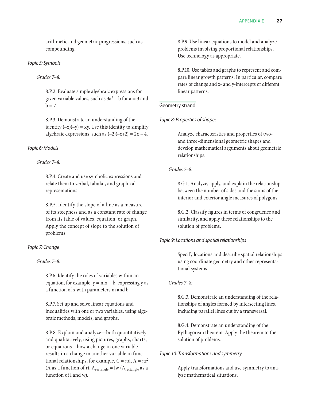arithmetic and geometric progressions, such as compounding.

## *Topic 5: Symbols*

*Grades 7–8:*

8.P.2. Evaluate simple algebraic expressions for given variable values, such as  $3a^2 - b$  for a = 3 and  $b = 7$ .

8.P.3. Demonstrate an understanding of the identity  $(-x)(-y) = xy$ . Use this identity to simplify algebraic expressions, such as  $(-2)(-x+2) = 2x - 4$ .

## *Topic 6: Models*

## *Grades 7–8:*

8.P.4. Create and use symbolic expressions and relate them to verbal, tabular, and graphical representations.

8.P.5. Identify the slope of a line as a measure of its steepness and as a constant rate of change from its table of values, equation, or graph. Apply the concept of slope to the solution of problems.

## *Topic 7: Change*

*Grades 7–8:*

8.P.6. Identify the roles of variables within an equation, for example,  $y = mx + b$ , expressing y as a function of x with parameters m and b.

8.P.7. Set up and solve linear equations and inequalities with one or two variables, using algebraic methods, models, and graphs.

8.P.8. Explain and analyze—both quantitatively and qualitatively, using pictures, graphs, charts, or equations—how a change in one variable results in a change in another variable in functional relationships, for example,  $C = \pi d$ ,  $A = \pi r^2$ (A as a function of r),  $A_{\text{rectangle}} = \text{lw} (A_{\text{rectangle}}$  as a function of l and w).

8.P.9. Use linear equations to model and analyze problems involving proportional relationships. Use technology as appropriate.

8.P.10. Use tables and graphs to represent and compare linear growth patterns. In particular, compare rates of change and x- and y-intercepts of different linear patterns.

## Geometry strand

## *Topic 8: Properties of shapes*

Analyze characteristics and properties of twoand three-dimensional geometric shapes and develop mathematical arguments about geometric relationships.

## *Grades 7–8:*

8.G.1. Analyze, apply, and explain the relationship between the number of sides and the sums of the interior and exterior angle measures of polygons.

8.G.2. Classify figures in terms of congruence and similarity, and apply these relationships to the solution of problems.

## *Topic 9: Locations and spatial relationships*

Specify locations and describe spatial relationships using coordinate geometry and other representational systems.

## *Grades 7–8:*

8.G.3. Demonstrate an understanding of the relationships of angles formed by intersecting lines, including parallel lines cut by a transversal.

8.G.4. Demonstrate an understanding of the Pythagorean theorem. Apply the theorem to the solution of problems.

## *Topic 10: Transformations and symmetry*

Apply transformations and use symmetry to analyze mathematical situations.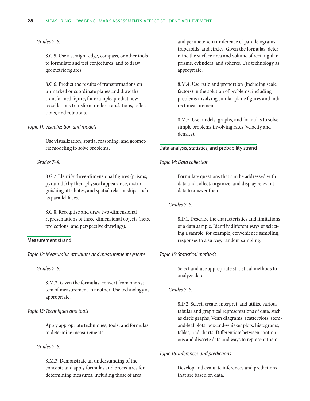## *Grades 7–8:*

8.G.5. Use a straight-edge, compass, or other tools to formulate and test conjectures, and to draw geometric figures.

8.G.6. Predict the results of transformations on unmarked or coordinate planes and draw the transformed figure, for example, predict how tessellations transform under translations, reflections, and rotations.

## *Topic 11: Visualization and models*

Use visualization, spatial reasoning, and geometric modeling to solve problems.

## *Grades 7–8:*

8.G.7. Identify three-dimensional figures (prisms, pyramids) by their physical appearance, distinguishing attributes, and spatial relationships such as parallel faces.

8.G.8. Recognize and draw two-dimensional representations of three-dimensional objects (nets, projections, and perspective drawings).

## Measurement strand

*Topic 12: Measurable attributes and measurement systems*

#### *Grades 7–8:*

8.M.2. Given the formulas, convert from one system of measurement to another. Use technology as appropriate.

## *Topic 13: Techniques and tools*

Apply appropriate techniques, tools, and formulas to determine measurements.

#### *Grades 7–8:*

8.M.3. Demonstrate an understanding of the concepts and apply formulas and procedures for determining measures, including those of area

and perimeter/circumference of parallelograms, trapezoids, and circles. Given the formulas, determine the surface area and volume of rectangular prisms, cylinders, and spheres. Use technology as appropriate.

8.M.4. Use ratio and proportion (including scale factors) in the solution of problems, including problems involving similar plane figures and indirect measurement.

8.M.5. Use models, graphs, and formulas to solve simple problems involving rates (velocity and density).

## Data analysis, statistics, and probability strand

## *Topic 14: Data collection*

Formulate questions that can be addressed with data and collect, organize, and display relevant data to answer them.

## *Grades 7–8:*

8.D.1. Describe the characteristics and limitations of a data sample. Identify different ways of selecting a sample, for example, convenience sampling, responses to a survey, random sampling.

## *Topic 15: Statistical methods*

Select and use appropriate statistical methods to analyze data.

## *Grades 7–8:*

8.D.2. Select, create, interpret, and utilize various tabular and graphical representations of data, such as circle graphs, Venn diagrams, scatterplots, stemand-leaf plots, box-and-whisker plots, histograms, tables, and charts. Differentiate between continuous and discrete data and ways to represent them.

## *Topic 16: Inferences and predictions*

Develop and evaluate inferences and predictions that are based on data.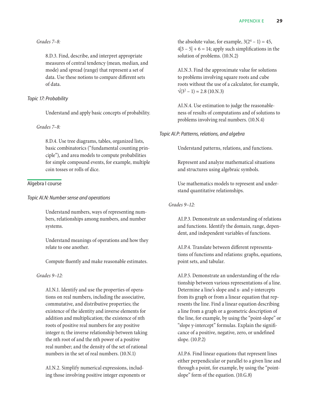*Grades 7–8:*

8.D.3. Find, describe, and interpret appropriate measures of central tendency (mean, median, and mode) and spread (range) that represent a set of data. Use these notions to compare different sets of data.

## *Topic 17: Probability*

Understand and apply basic concepts of probability.

## *Grades 7–8:*

8.D.4. Use tree diagrams, tables, organized lists, basic combinatorics ("fundamental counting principle"), and area models to compute probabilities for simple compound events, for example, multiple coin tosses or rolls of dice.

## Algebra I course

## *Topic AI.N: Number sense and operations*

Understand numbers, ways of representing numbers, relationships among numbers, and number systems.

Understand meanings of operations and how they relate to one another.

Compute fluently and make reasonable estimates.

## *Grades 9–12:*

AI.N.1. Identify and use the properties of operations on real numbers, including the associative, commutative, and distributive properties; the existence of the identity and inverse elements for addition and multiplication; the existence of nth roots of positive real numbers for any positive integer n; the inverse relationship between taking the nth root of and the nth power of a positive real number; and the density of the set of rational numbers in the set of real numbers. (10.N.1)

AI.N.2. Simplify numerical expressions, including those involving positive integer exponents or the absolute value, for example,  $3(2^4 – 1) = 45$ ,  $4|3 - 5| + 6 = 14$ ; apply such simplifications in the solution of problems. (10.N.2)

AI.N.3. Find the approximate value for solutions to problems involving square roots and cube roots without the use of a calculator, for example,  $\sqrt{(3^2 - 1)} \approx 2.8$  (10.N.3)

AI.N.4. Use estimation to judge the reasonableness of results of computations and of solutions to problems involving real numbers. (10.N.4)

*Topic AI.P: Patterns, relations, and algebra*

Understand patterns, relations, and functions.

Represent and analyze mathematical situations and structures using algebraic symbols.

Use mathematics models to represent and understand quantitative relationships.

*Grades 9–12:*

AI.P.3. Demonstrate an understanding of relations and functions. Identify the domain, range, dependent, and independent variables of functions.

AI.P.4. Translate between different representations of functions and relations: graphs, equations, point sets, and tabular.

AI.P.5. Demonstrate an understanding of the relationship between various representations of a line. Determine a line's slope and x- and y-intercepts from its graph or from a linear equation that represents the line. Find a linear equation describing a line from a graph or a geometric description of the line, for example, by using the "point-slope" or "slope y-intercept" formulas. Explain the significance of a positive, negative, zero, or undefined slope. (10.P.2)

AI.P.6. Find linear equations that represent lines either perpendicular or parallel to a given line and through a point, for example, by using the "pointslope" form of the equation. (10.G.8)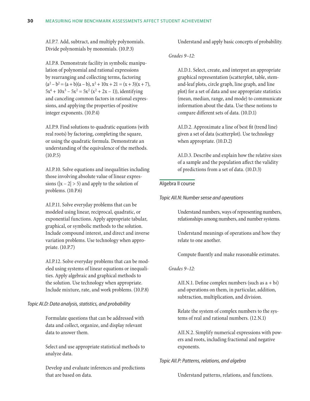AI.P.7. Add, subtract, and multiply polynomials. Divide polynomials by monomials. (10.P.3)

AI.P.8. Demonstrate facility in symbolic manipulation of polynomial and rational expressions by rearranging and collecting terms, factoring  $(a<sup>2</sup> - b<sup>2</sup> = (a + b)(a – b), x<sup>2</sup> + 10x + 21 = (x + 3)(x + 7),$  $5x^4 + 10x^3 - 5x^2 = 5x^2 (x^2 + 2x - 1)$ , identifying and canceling common factors in rational expressions, and applying the properties of positive integer exponents. (10.P.4)

AI.P.9. Find solutions to quadratic equations (with real roots) by factoring, completing the square, or using the quadratic formula. Demonstrate an understanding of the equivalence of the methods. (10.P.5)

AI.P.10. Solve equations and inequalities including those involving absolute value of linear expressions ( $|x - 2| > 5$ ) and apply to the solution of problems. (10.P.6)

AI.P.11. Solve everyday problems that can be modeled using linear, reciprocal, quadratic, or exponential functions. Apply appropriate tabular, graphical, or symbolic methods to the solution. Include compound interest, and direct and inverse variation problems. Use technology when appropriate. (10.P.7)

AI.P.12. Solve everyday problems that can be modeled using systems of linear equations or inequalities. Apply algebraic and graphical methods to the solution. Use technology when appropriate. Include mixture, rate, and work problems. (10.P.8)

## *Topic AI.D: Data analysis, statistics, and probability*

Formulate questions that can be addressed with data and collect, organize, and display relevant data to answer them.

Select and use appropriate statistical methods to analyze data.

Develop and evaluate inferences and predictions that are based on data.

Understand and apply basic concepts of probability.

#### *Grades 9–12:*

AI.D.1. Select, create, and interpret an appropriate graphical representation (scatterplot, table, stemand-leaf plots, circle graph, line graph, and line plot) for a set of data and use appropriate statistics (mean, median, range, and mode) to communicate information about the data. Use these notions to compare different sets of data. (10.D.1)

AI.D.2. Approximate a line of best fit (trend line) given a set of data (scatterplot). Use technology when appropriate. (10.D.2)

AI.D.3. Describe and explain how the relative sizes of a sample and the population affect the validity of predictions from a set of data. (10.D.3)

## Algebra II course

*Topic AII.N: Number sense and operations*

Understand numbers, ways of representing numbers, relationships among numbers, and number systems.

Understand meanings of operations and how they relate to one another.

Compute fluently and make reasonable estimates.

## *Grades 9–12:*

AII.N.1. Define complex numbers (such as a + b*i*) and operations on them, in particular, addition, subtraction, multiplication, and division.

Relate the system of complex numbers to the systems of real and rational numbers. (12.N.1)

AII.N.2. Simplify numerical expressions with powers and roots, including fractional and negative exponents.

## *Topic AII.P: Patterns, relations, and algebra*

Understand patterns, relations, and functions.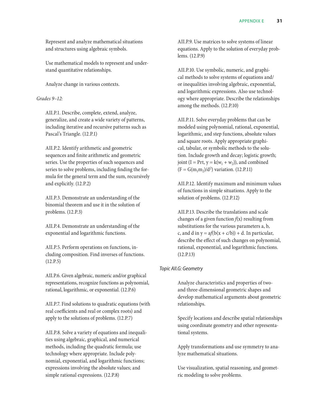Represent and analyze mathematical situations and structures using algebraic symbols.

Use mathematical models to represent and understand quantitative relationships.

Analyze change in various contexts.

## *Grades 9–12:*

AII.P.1. Describe, complete, extend, analyze, generalize, and create a wide variety of patterns, including iterative and recursive patterns such as Pascal's Triangle. (12.P.1)

AII.P.2. Identify arithmetic and geometric sequences and finite arithmetic and geometric series. Use the properties of such sequences and series to solve problems, including finding the formula for the general term and the sum, recursively and explicitly. (12.P.2)

AII.P.3. Demonstrate an understanding of the binomial theorem and use it in the solution of problems. (12.P.3)

AII.P.4. Demonstrate an understanding of the exponential and logarithmic functions.

AII.P.5. Perform operations on functions, including composition. Find inverses of functions. (12.P.5)

AII.P.6. Given algebraic, numeric and/or graphical representations, recognize functions as polynomial, rational, logarithmic, or exponential. (12.P.6)

AII.P.7. Find solutions to quadratic equations (with real coefficients and real or complex roots) and apply to the solutions of problems. (12.P.7)

AII.P.8. Solve a variety of equations and inequalities using algebraic, graphical, and numerical methods, including the quadratic formula; use technology where appropriate. Include polynomial, exponential, and logarithmic functions; expressions involving the absolute values; and simple rational expressions. (12.P.8)

AII.P.9. Use matrices to solve systems of linear equations. Apply to the solution of everyday problems. (12.P.9)

AII.P.10. Use symbolic, numeric, and graphical methods to solve systems of equations and/ or inequalities involving algebraic, exponential, and logarithmic expressions. Also use technology where appropriate. Describe the relationships among the methods. (12.P.10)

AII.P.11. Solve everyday problems that can be modeled using polynomial, rational, exponential, logarithmic, and step functions, absolute values and square roots. Apply appropriate graphical, tabular, or symbolic methods to the solution. Include growth and decay; logistic growth; joint (I = Prt,  $y = k(w_1 + w_2)$ ), and combined  $(F = G(m_1m_2)/d^2)$  variation. (12.P.11)

AII.P.12. Identify maximum and minimum values of functions in simple situations. Apply to the solution of problems. (12.P.12)

AII.P.13. Describe the translations and scale changes of a given function *f*(x) resulting from substitutions for the various parameters a, b, c, and d in  $y = af(b(x + c/b)) + d$ . In particular, describe the effect of such changes on polynomial, rational, exponential, and logarithmic functions. (12.P.13)

## *Topic AII.G: Geometry*

Analyze characteristics and properties of twoand three-dimensional geometric shapes and develop mathematical arguments about geometric relationships.

Specify locations and describe spatial relationships using coordinate geometry and other representational systems.

Apply transformations and use symmetry to analyze mathematical situations.

Use visualization, spatial reasoning, and geometric modeling to solve problems.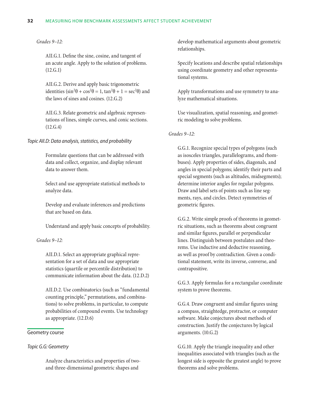#### **32** Measuring how benchmark assessments affect student achievement

#### *Grades 9–12:*

AII.G.1. Define the sine, cosine, and tangent of an acute angle. Apply to the solution of problems. (12.G.1)

AII.G.2. Derive and apply basic trigonometric identities  $\left(\sin^2\theta + \cos^2\theta = 1, \tan^2\theta + 1 = \sec^2\theta\right)$  and the laws of sines and cosines. (12.G.2)

AII.G.3. Relate geometric and algebraic representations of lines, simple curves, and conic sections. (12.G.4)

#### *Topic AII.D: Data analysis, statistics, and probability*

Formulate questions that can be addressed with data and collect, organize, and display relevant data to answer them.

Select and use appropriate statistical methods to analyze data.

Develop and evaluate inferences and predictions that are based on data.

Understand and apply basic concepts of probability.

#### *Grades 9–12:*

AII.D.1. Select an appropriate graphical representation for a set of data and use appropriate statistics (quartile or percentile distribution) to communicate information about the data. (12.D.2)

AII.D.2. Use combinatorics (such as "fundamental counting principle," permutations, and combinations) to solve problems, in particular, to compute probabilities of compound events. Use technology as appropriate. (12.D.6)

#### Geometry course

#### *Topic G.G: Geometry*

Analyze characteristics and properties of twoand three-dimensional geometric shapes and

develop mathematical arguments about geometric relationships.

Specify locations and describe spatial relationships using coordinate geometry and other representational systems.

Apply transformations and use symmetry to analyze mathematical situations.

Use visualization, spatial reasoning, and geometric modeling to solve problems.

#### *Grades 9–12:*

G.G.1. Recognize special types of polygons (such as isosceles triangles, parallelograms, and rhombuses). Apply properties of sides, diagonals, and angles in special polygons; identify their parts and special segments (such as altitudes, midsegments); determine interior angles for regular polygons. Draw and label sets of points such as line segments, rays, and circles. Detect symmetries of geometric figures.

G.G.2. Write simple proofs of theorems in geometric situations, such as theorems about congruent and similar figures, parallel or perpendicular lines. Distinguish between postulates and theorems. Use inductive and deductive reasoning, as well as proof by contradiction. Given a conditional statement, write its inverse, converse, and contrapositive.

G.G.3. Apply formulas for a rectangular coordinate system to prove theorems.

G.G.4. Draw congruent and similar figures using a compass, straightedge, protractor, or computer software. Make conjectures about methods of construction. Justify the conjectures by logical arguments. (10.G.2)

G.G.10. Apply the triangle inequality and other inequalities associated with triangles (such as the longest side is opposite the greatest angle) to prove theorems and solve problems.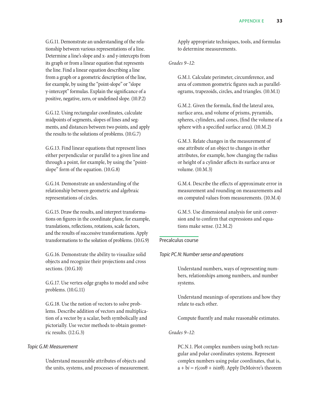G.G.11. Demonstrate an understanding of the relationship between various representations of a line. Determine a line's slope and x- and y-intercepts from its graph or from a linear equation that represents the line. Find a linear equation describing a line from a graph or a geometric description of the line, for example, by using the "point-slope" or "slope y-intercept" formulas. Explain the significance of a positive, negative, zero, or undefined slope. (10.P.2)

G.G.12. Using rectangular coordinates, calculate midpoints of segments, slopes of lines and segments, and distances between two points, and apply the results to the solutions of problems. (10.G.7)

G.G.13. Find linear equations that represent lines either perpendicular or parallel to a given line and through a point, for example, by using the "pointslope" form of the equation. (10.G.8)

G.G.14. Demonstrate an understanding of the relationship between geometric and algebraic representations of circles.

G.G.15. Draw the results, and interpret transformations on figures in the coordinate plane, for example, translations, reflections, rotations, scale factors, and the results of successive transformations. Apply transformations to the solution of problems. (10.G.9)

G.G.16. Demonstrate the ability to visualize solid objects and recognize their projections and cross sections. (10.G.10)

G.G.17. Use vertex-edge graphs to model and solve problems. (10.G.11)

G.G.18. Use the notion of vectors to solve problems. Describe addition of vectors and multiplication of a vector by a scalar, both symbolically and pictorially. Use vector methods to obtain geometric results. (12.G.3)

## *Topic G.M: Measurement*

Understand measurable attributes of objects and the units, systems, and processes of measurement. Apply appropriate techniques, tools, and formulas to determine measurements.

*Grades 9–12:*

G.M.1. Calculate perimeter, circumference, and area of common geometric figures such as parallelograms, trapezoids, circles, and triangles. (10.M.1)

G.M.2. Given the formula, find the lateral area, surface area, and volume of prisms, pyramids, spheres, cylinders, and cones, (find the volume of a sphere with a specified surface area). (10.M.2)

G.M.3. Relate changes in the measurement of one attribute of an object to changes in other attributes, for example, how changing the radius or height of a cylinder affects its surface area or volume. (10.M.3)

G.M.4. Describe the effects of approximate error in measurement and rounding on measurements and on computed values from measurements. (10.M.4)

G.M.5. Use dimensional analysis for unit conversion and to confirm that expressions and equations make sense. (12.M.2)

## Precalculus course

## *Topic PC.N: Number sense and operations*

Understand numbers, ways of representing numbers, relationships among numbers, and number systems.

Understand meanings of operations and how they relate to each other.

Compute fluently and make reasonable estimates.

*Grades 9–12:*

PC.N.1. Plot complex numbers using both rectangular and polar coordinates systems. Represent complex numbers using polar coordinates, that is,  $a + bi = r(cos\theta + i sin\theta)$ . Apply DeMoivre's theorem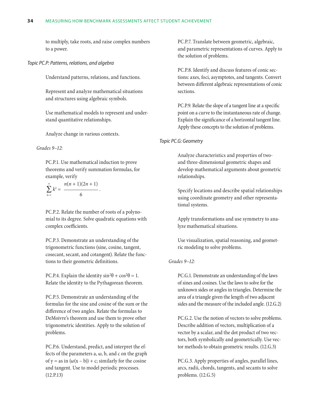to multiply, take roots, and raise complex numbers to a power.

*Topic PC.P: Patterns, relations, and algebra*

Understand patterns, relations, and functions.

Represent and analyze mathematical situations and structures using algebraic symbols.

Use mathematical models to represent and understand quantitative relationships.

Analyze change in various contexts.

#### *Grades 9–12:*

PC.P.1. Use mathematical induction to prove theorems and verify summation formulas, for example, verify

$$
\sum_{k=1}^n k^2 = \frac{n(n+1)(2n+1)}{6}.
$$

PC.P.2. Relate the number of roots of a polynomial to its degree. Solve quadratic equations with complex coefficients.

PC.P.3. Demonstrate an understanding of the trigonometric functions (sine, cosine, tangent, cosecant, secant, and cotangent). Relate the functions to their geometric definitions.

PC.P.4. Explain the identity  $\sin^2\theta + \cos^2\theta = 1$ . Relate the identity to the Pythagorean theorem.

PC.P.5. Demonstrate an understanding of the formulas for the sine and cosine of the sum or the difference of two angles. Relate the formulas to DeMoivre's theorem and use them to prove other trigonometric identities. Apply to the solution of problems.

PC.P.6. Understand, predict, and interpret the effects of the parameters  $a, \omega, b$ , and c on the graph of y = as in  $(\omega(x - b)) + c$ ; similarly for the cosine and tangent. Use to model periodic processes. (12.P.13)

PC.P.7. Translate between geometric, algebraic, and parametric representations of curves. Apply to the solution of problems.

PC.P.8. Identify and discuss features of conic sections: axes, foci, asymptotes, and tangents. Convert between different algebraic representations of conic sections.

PC.P.9. Relate the slope of a tangent line at a specific point on a curve to the instantaneous rate of change. Explain the significance of a horizontal tangent line. Apply these concepts to the solution of problems.

## *Topic PC.G: Geometry*

Analyze characteristics and properties of twoand three-dimensional geometric shapes and develop mathematical arguments about geometric relationships.

Specify locations and describe spatial relationships using coordinate geometry and other representational systems.

Apply transformations and use symmetry to analyze mathematical situations.

Use visualization, spatial reasoning, and geometric modeling to solve problems.

## *Grades 9–12:*

PC.G.1. Demonstrate an understanding of the laws of sines and cosines. Use the laws to solve for the unknown sides or angles in triangles. Determine the area of a triangle given the length of two adjacent sides and the measure of the included angle. (12.G.2)

PC.G.2. Use the notion of vectors to solve problems. Describe addition of vectors, multiplication of a vector by a scalar, and the dot product of two vectors, both symbolically and geometrically. Use vector methods to obtain geometric results. (12.G.3)

PC.G.3. Apply properties of angles, parallel lines, arcs, radii, chords, tangents, and secants to solve problems. (12.G.5)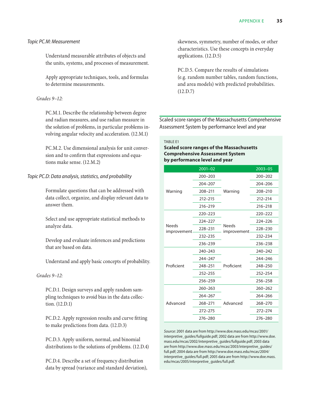## <span id="page-41-0"></span>*Topic PC.M: Measurement*

Understand measurable attributes of objects and the units, systems, and processes of measurement.

Apply appropriate techniques, tools, and formulas to determine measurements.

#### *Grades 9–12:*

PC.M.1. Describe the relationship between degree and radian measures, and use radian measure in the solution of problems, in particular problems involving angular velocity and acceleration. (12.M.1)

PC.M.2. Use dimensional analysis for unit conversion and to confirm that expressions and equations make sense. (12.M.2)

## *Topic PC.D: Data analysis, statistics, and probability*

Formulate questions that can be addressed with data collect, organize, and display relevant data to answer them.

Select and use appropriate statistical methods to analyze data.

Develop and evaluate inferences and predictions that are based on data.

Understand and apply basic concepts of probability.

#### *Grades 9–12:*

PC.D.1. Design surveys and apply random sampling techniques to avoid bias in the data collection. (12.D.1)

PC.D.2. Apply regression results and curve fitting to make predictions from data. (12.D.3)

PC.D.3. Apply uniform, normal, and binomial distributions to the solutions of problems. (12.D.4)

PC.D.4. Describe a set of frequency distribution data by spread (variance and standard deviation), skewness, symmetry, number of modes, or other characteristics. Use these concepts in everyday applications. (12.D.5)

PC.D.5. Compare the results of simulations (e.g. random number tables, random functions, and area models) with predicted probabilities. (12.D.7)

Scaled score ranges of the Massachusetts Comprehensive Assessment System by performance level and year

TABLE E1

#### **Scaled score ranges of the Massachusetts Comprehensive Assessment System by performance level and year**

|                              | $2001 - 02$ |                              | $2003 - 05$ |
|------------------------------|-------------|------------------------------|-------------|
|                              | $200 - 203$ |                              | $200 - 202$ |
|                              | 204-207     |                              | $204 - 206$ |
| Warning                      | 208-211     | Warning                      | 208-210     |
|                              | $212 - 215$ |                              | $212 - 214$ |
|                              | $216 - 219$ |                              | $216 - 218$ |
|                              | $220 - 223$ |                              | 220-222     |
|                              | 224-227     |                              | $224 - 226$ |
| <b>Needs</b><br>improvement. | 228-231     | <b>Needs</b><br>improvement. | 228-230     |
|                              | 232-235     |                              | 232-234     |
|                              | 236-239     |                              | 236-238     |
|                              | 240-243     | Proficient                   | $240 - 242$ |
|                              | 244-247     |                              | $244 - 246$ |
| Proficient                   | 248-251     |                              | 248-250     |
|                              | $252 - 255$ |                              | 252-254     |
|                              | 256-259     |                              | 256-258     |
|                              | $260 - 263$ | Advanced                     | $260 - 262$ |
|                              | $264 - 267$ |                              | $264 - 266$ |
| Advanced                     | 268-271     |                              | 268-270     |
|                              | $272 - 275$ |                              | $272 - 274$ |
|                              | 276-280     |                              | $276 - 280$ |

*Source:* 2001 data are from http://www.doe.mass.edu/mcas/2001/ interpretive\_guides/fullguide.pdf; 2002 data are from http://www.doe. mass.edu/mcas/2002/interpretive\_guides/fullguide.pdf; 2003 data are from http://www.doe.mass.edu/mcas/2003/interpretive\_guides/ full.pdf; 2004 data are from http://www.doe.mass.edu/mcas/2004/ interpretive\_guides/full.pdf; 2005 data are from http://www.doe.mass. edu/mcas/2005/interpretive\_guides/full.pdf.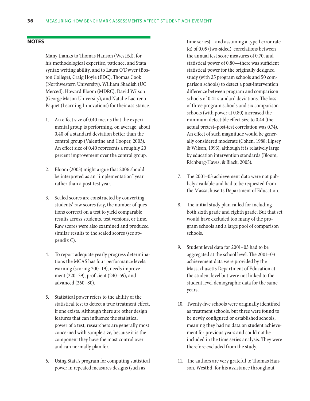#### <span id="page-42-0"></span>**Notes**

Many thanks to Thomas Hanson (WestEd), for his methodological expertise, patience, and Stata syntax writing ability, and to Laura O'Dwyer (Boston College), Craig Hoyle (EDC), Thomas Cook (Northwestern University), William Shadish (UC Merced), Howard Bloom (MDRC), David Wilson (George Mason University), and Natalie Lacireno-Paquet (Learning Innovations) for their assistance.

- 1. An effect size of 0.40 means that the experimental group is performing, on average, about 0.40 of a standard deviation better than the control group (Valentine and Cooper, 2003). An effect size of 0.40 represents a roughly 20 percent improvement over the control group.
- 2. Bloom (2003) might argue that 2006 should be interpreted as an "implementation" year rather than a post-test year.
- 3. Scaled scores are constructed by converting students' raw scores (say, the number of questions correct) on a test to yield comparable results across students, test versions, or time. Raw scores were also examined and produced similar results to the scaled scores (see appendix C).
- 4. To report adequate yearly progress determinations the MCAS has four performance levels: warning (scoring 200–19), needs improvement (220–39), proficient (240–59), and advanced (260–80).
- 5. Statistical power refers to the ability of the statistical test to detect a true treatment effect, if one exists. Although there are other design features that can influence the statistical power of a test, researchers are generally most concerned with sample size, because it is the component they have the most control over and can normally plan for.
- 6. Using Stata's program for computing statistical power in repeated measures designs (such as

time series)—and assuming a type I error rate (α) of 0.05 (two-sided), correlations between the annual test score measures of 0.70, and statistical power of 0.80—there was sufficient statistical power for the originally designed study (with 25 program schools and 50 comparison schools) to detect a post-intervention difference between program and comparison schools of 0.41 standard deviations. The loss of three program schools and six comparison schools (with power at 0.80) increased the minimum detectible effect size to 0.44 (the actual pretest–post-test correlation was 0.74). An effect of such magnitude would be generally considered moderate (Cohen, 1988; Lipsey & Wilson, 1993), although it is relatively large by education intervention standards (Bloom, Richburg-Hayes, & Black, 2005).

- 7. The 2001–03 achievement data were not publicly available and had to be requested from the Massachusetts Department of Education.
- 8. The initial study plan called for including both sixth grade and eighth grade. But that set would have excluded too many of the program schools and a large pool of comparison schools.
- 9. Student level data for 2001–03 had to be aggregated at the school level. The 2001–03 achievement data were provided by the Massachusetts Department of Education at the student level but were not linked to the student level demographic data for the same years.
- 10. Twenty-five schools were originally identified as treatment schools, but three were found to be newly configured or established schools, meaning they had no data on student achievement for previous years and could not be included in the time series analysis. They were therefore excluded from the study.
- 11. The authors are very grateful to Thomas Hanson, WestEd, for his assistance throughout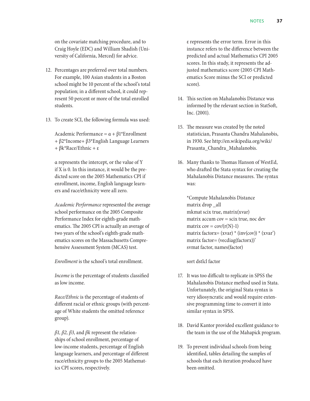on the covariate matching procedure, and to Craig Hoyle (EDC) and William Shadish (University of California, Merced) for advice.

- 12. Percentages are preferred over total numbers. For example, 100 Asian students in a Boston school might be 10 percent of the school's total population; in a different school, it could represent 50 percent or more of the total enrolled students.
- 13. To create SCI, the following formula was used:

Academic Performance =  $\alpha + \beta$ 1\*Enrollment + β2\*Income+ β3\*English Language Learners + βk\*Race/Ethnic + ε

α represents the intercept, or the value of Y if X is 0. In this instance, it would be the predicted score on the 2005 Mathematics CPI if enrollment, income, English language learners and race/ethnicity were all zero.

*Academic Performance* represented the average school performance on the 2005 Composite Performance Index for eighth-grade mathematics. The 2005 CPI is actually an average of two years of the school's eighth-grade mathematics scores on the Massachusetts Comprehensive Assessment System (MCAS) test.

*Enrollment* is the school's total enrollment.

*Income* is the percentage of students classified as low income.

*Race/Ethnic* is the percentage of students of different racial or ethnic groups (with percentage of White students the omitted reference group).

*β1, β2, β3,* and *βk* represent the relationships of school enrollment, percentage of low-income students, percentage of English language learners, and percentage of different race/ethnicity groups to the 2005 Mathematics CPI scores, respectively.

ε represents the error term. Error in this instance refers to the difference between the predicted and actual Mathematics CPI 2005 scores. In this study, it represents the adjusted mathematics score (2005 CPI Mathematics Score minus the SCI or predicted score).

- 14. This section on Mahalanobis Distance was informed by the relevant section in StatSoft, Inc. (2001).
- 15. The measure was created by the noted statistician, Prasanta Chandra Mahalanobis, in 1930. See http://en.wikipedia.org/wiki/ Prasanta\_Chandra\_Mahalanobis.
- 16. Many thanks to Thomas Hanson of WestEd, who drafted the Stata syntax for creating the Mahalanobis Distance measures. The syntax was:

\*Compute Mahalanobis Distance matrix drop \_all mkmat scix true, matrix(xvar) matrix accum cov = scix true, noc dev matrix  $cov = cov/(r(N)-1)$ matrix factorx=  $(xvar) * (inv(cov)) * (xvar)$ matrix factor= (vecdiag(factorx))' svmat factor, names(factor)

sort dstlcl factor

- 17. It was too difficult to replicate in SPSS the Mahalanobis Distance method used in Stata. Unfortunately, the original Stata syntax is very idiosyncratic and would require extensive programming time to convert it into similar syntax in SPSS.
- 18. David Kantor provided excellent guidance to the team in the use of the Mahapick program.
- 19. To prevent individual schools from being identified, tables detailing the samples of schools that each iteration produced have been omitted.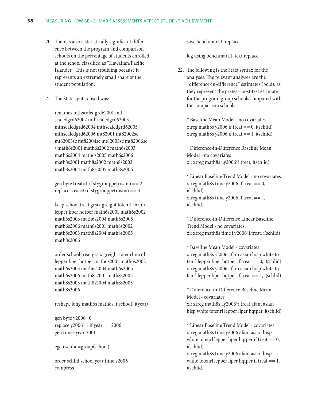- 20. There is also a statistically significant difference between the program and comparison schools on the percentage of students enrolled at the school classified as "Hawaiian/Pacific Islander." This is not troubling because it represents an extremely small share of the student population.
- 21. The Stata syntax used was:

renames mthscaledgrd62001 mthscaledgrd62002 mthscaledgrd62003 mthscaledgrd62004 mthscaledgrd62005 mthscaledgrd62006 mt82001 mt82002sc mt82003sc mt82004sc mt82005sc mt82006sc \ math6s2001 math6s2002 math6s2003 math6s2004 math6s2005 math6s2006 math8s2001 math8s2002 math8s2003 math8s2004 math8s2005 math8s2006

gen byte treat=1 if stygrouppetrosino == 2 replace treat=0 if stygrouppetrosino == 3

keep school treat grsix greight totenrl-mrnh lepper liper hqtper math6s2001 math6s2002 math6s2003 math6s2004 math6s2005 math6s2006 math8s2001 math8s2002 math8s2003 math8s2004 math8s2005 math8s2006

order school treat grsix greight totenrl-mrnh lepper liper hqtper math6s2001 math6s2002 math6s2003 math6s2004 math6s2005 math6s2006 math8s2001 math8s2002 math8s2003 math8s2004 math8s2005 math8s2006

reshape long math6s math8s, i(school) j(year)

gen byte y2006=0 replace  $y2006=1$  if year == 2006 gen time=year-2001

egen schlid=group(school)

order schlid school year time y2006 compress

save benchmark1, replace

log using benchmark1, text replace

22. The following is the Stata syntax for the analyses. The relevant analyses are the "difference-in-difference" estimates (bold), as they represent the pretest–post-test estimate for the program group schools compared with the comparison schools.

\* Baseline Mean Model - no covariates. xtreg math8s y2006 if treat  $== 0$ , i(schlid) xtreg math8s y2006 if treat  $== 1$ , i(schlid)

\* Difference-in-Difference Baseline Mean Model - no covariates xi: xtreg math8s i.y2006\*i.treat, i(schlid)

\* Linear Baseline Trend Model - no covariates. xtreg math8s time  $y2006$  if treat == 0, i(schlid) xtreg math8s time  $y2006$  if treat  $== 1$ , i(schlid)

\* Difference-in-Difference Linear Baseline Trend Model - no covariates xi: xtreg math8s time i.y2006\*i.treat, i(schlid)

\* Baseline Mean Model - covariates. xtreg math8s y2006 afam asian hisp white totenrl lepper liper hqtper if treat == 0, i(schlid) xtreg math8s y2006 afam asian hisp white totenrl lepper liper hqtper if treat == 1, i(schlid)

\* Difference-in-Difference Baseline Mean Model - covariates xi: xtreg math8s i.y2006\*i.treat afam asian hisp white totenrl lepper liper hqtper, i(schlid)

\* Linear Baseline Trend Model - covariates. xtreg math8s time y2006 afam asian hisp white totenrl lepper liper hqtper if treat  $== 0$ , i(schlid)

xtreg math8s time y2006 afam asian hisp white totenrl lepper liper hqtper if treat  $== 1$ , i(schlid)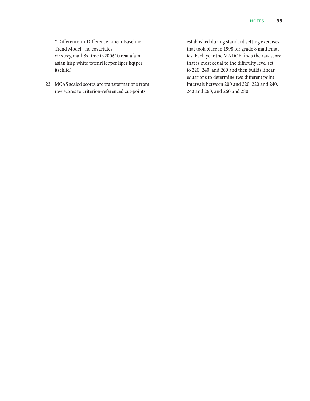\* Difference-in-Difference Linear Baseline Trend Model - no covariates xi: xtreg math8s time i.y2006\*i.treat afam asian hisp white totenrl lepper liper hqtper, i(schlid)

23. MCAS scaled scores are transformations from raw scores to criterion-referenced cut-points

established during standard setting exercises that took place in 1998 for grade 8 mathematics. Each year the MADOE finds the raw score that is most equal to the difficulty level set to 220, 240, and 260 and then builds linear equations to determine two different point intervals between 200 and 220, 220 and 240, 240 and 260, and 260 and 280.